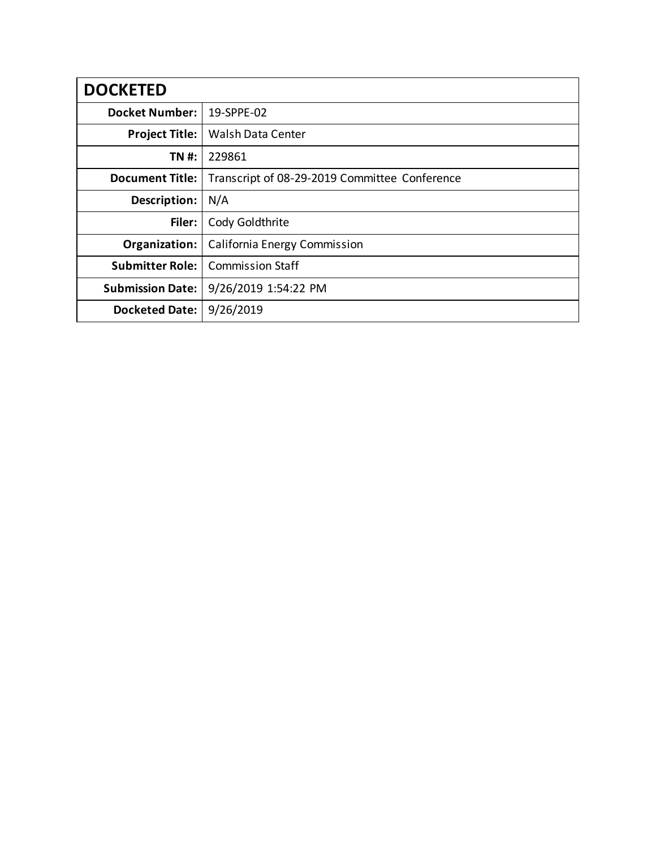| <b>DOCKETED</b>         |                                               |
|-------------------------|-----------------------------------------------|
| <b>Docket Number:</b>   | 19-SPPE-02                                    |
| <b>Project Title:</b>   | Walsh Data Center                             |
| TN #:                   | 229861                                        |
| <b>Document Title:</b>  | Transcript of 08-29-2019 Committee Conference |
| Description:            | N/A                                           |
| Filer:                  | Cody Goldthrite                               |
| Organization:           | California Energy Commission                  |
| <b>Submitter Role:</b>  | <b>Commission Staff</b>                       |
| <b>Submission Date:</b> | 9/26/2019 1:54:22 PM                          |
| <b>Docketed Date:</b>   | 9/26/2019                                     |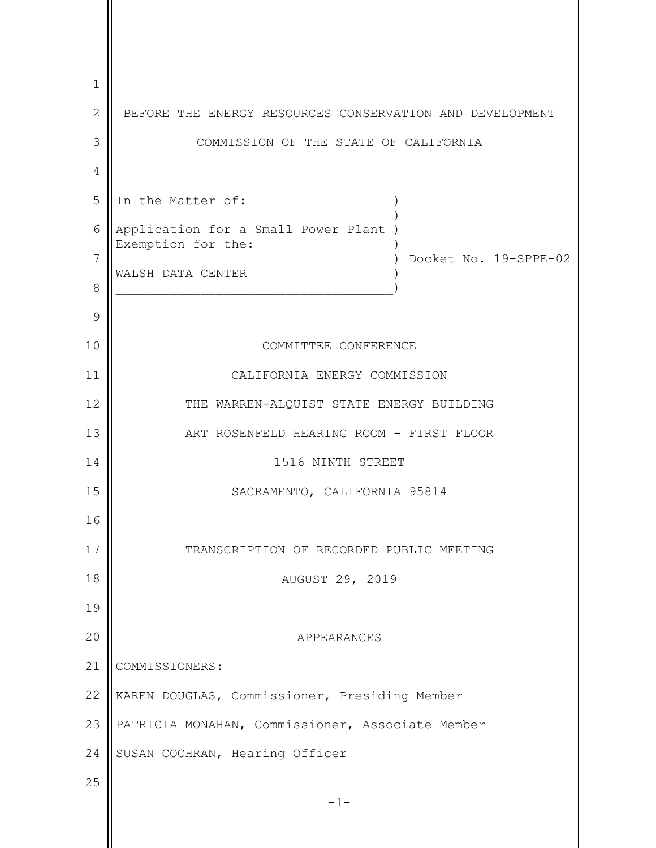-1- 1 2 3 4 5 6 7 8 9 10 11 12 13 14 15 16 17 18 19 20 21 22 23 24 25 BEFORE THE ENERGY RESOURCES CONSERVATION AND DEVELOPMENT COMMISSION OF THE STATE OF CALIFORNIA In the Matter of:  $\qquad \qquad$ ) Application for a Small Power Plant ) Exemption for the: ) Docket No. 19-SPPE-02 WALSH DATA CENTER  $\big)$ COMMITTEE CONFERENCE CALIFORNIA ENERGY COMMISSION THE WARREN-ALQUIST STATE ENERGY BUILDING ART ROSENFELD HEARING ROOM - FIRST FLOOR 1516 NINTH STREET SACRAMENTO, CALIFORNIA 95814 TRANSCRIPTION OF RECORDED PUBLIC MEETING AUGUST 29, 2019 APPEARANCES COMMISSIONERS: KAREN DOUGLAS, Commissioner, Presiding Member PATRICIA MONAHAN, Commissioner, Associate Member SUSAN COCHRAN, Hearing Officer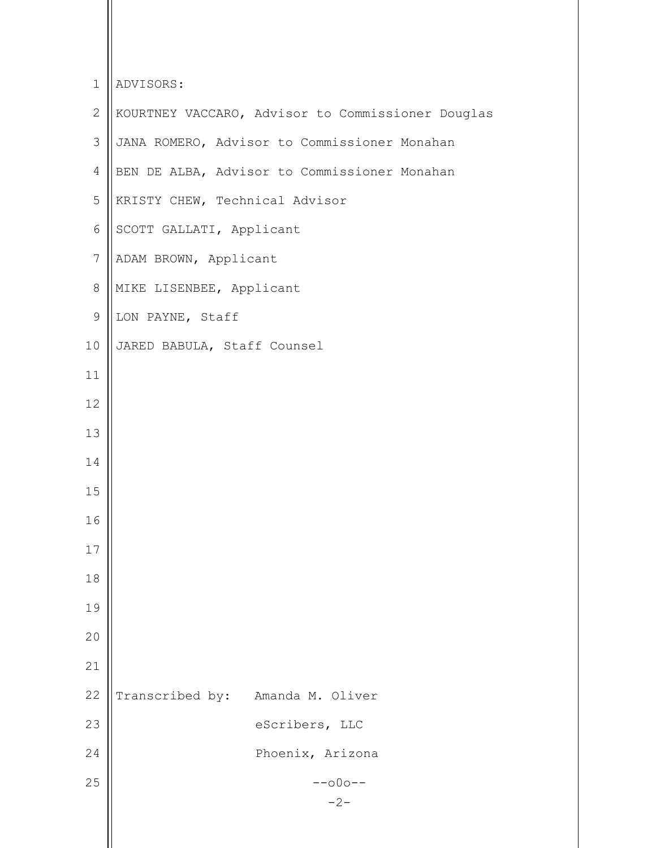| $\mathbf 1$    | ADVISORS:                                         |
|----------------|---------------------------------------------------|
| $\overline{2}$ | KOURTNEY VACCARO, Advisor to Commissioner Douglas |
| 3              | JANA ROMERO, Advisor to Commissioner Monahan      |
| 4              | BEN DE ALBA, Advisor to Commissioner Monahan      |
| 5              | KRISTY CHEW, Technical Advisor                    |
| 6              | SCOTT GALLATI, Applicant                          |
| $\overline{7}$ | ADAM BROWN, Applicant                             |
| $8\,$          | MIKE LISENBEE, Applicant                          |
| $\mathsf 9$    | LON PAYNE, Staff                                  |
| 10             | JARED BABULA, Staff Counsel                       |
| 11             |                                                   |
| 12             |                                                   |
| 13             |                                                   |
| 14             |                                                   |
| 15             |                                                   |
| 16             |                                                   |
| 17             |                                                   |
| 18             |                                                   |
| 19             |                                                   |
| 20             |                                                   |
| 21             |                                                   |
| 22             | Transcribed by:<br>Amanda M. Oliver               |
| 23             | eScribers, LLC                                    |
| 24             | Phoenix, Arizona                                  |
| 25             | $--000--$                                         |
|                | $-2-$                                             |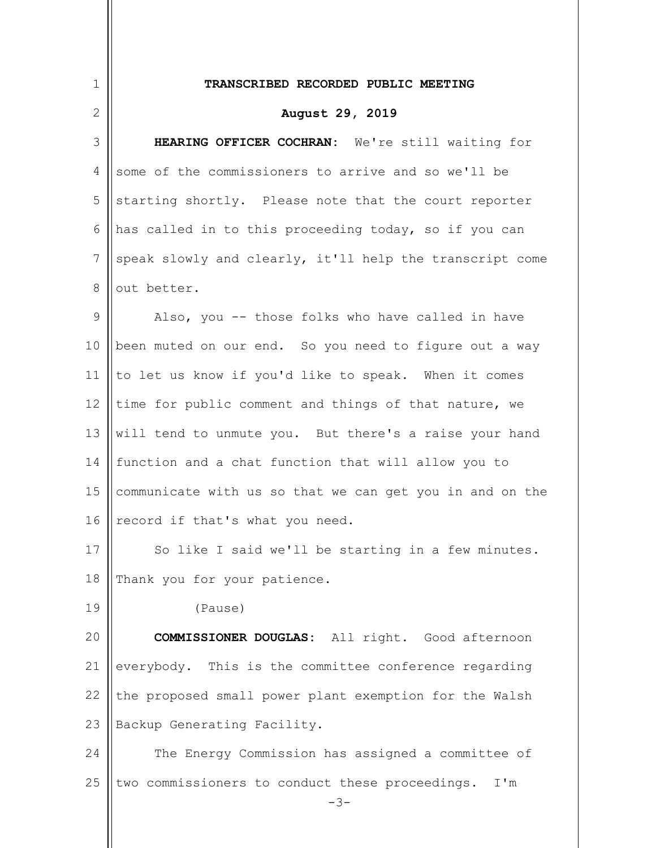| $\mathbf 1$    | TRANSCRIBED RECORDED PUBLIC MEETING                             |
|----------------|-----------------------------------------------------------------|
| 2              | August 29, 2019                                                 |
| 3              | HEARING OFFICER COCHRAN: We're still waiting for                |
| 4              | some of the commissioners to arrive and so we'll be             |
| 5              | starting shortly. Please note that the court reporter           |
| 6              | has called in to this proceeding today, so if you can           |
| $\overline{7}$ | speak slowly and clearly, it'll help the transcript come        |
| 8              | out better.                                                     |
| $\mathsf 9$    | Also, you -- those folks who have called in have                |
| 10             | been muted on our end. So you need to figure out a way          |
| 11             | to let us know if you'd like to speak. When it comes            |
| 12             | time for public comment and things of that nature, we           |
| 13             | will tend to unmute you. But there's a raise your hand          |
| 14             | function and a chat function that will allow you to             |
| 15             | communicate with us so that we can get you in and on the        |
| 16             | record if that's what you need.                                 |
| 17             | So like I said we'll be starting in a few minutes.              |
| 18             | Thank you for your patience.                                    |
| 19             | (Pause)                                                         |
| 20             | <b>COMMISSIONER DOUGLAS:</b> All right. Good afternoon          |
| 21             | everybody. This is the committee conference regarding           |
| 22             | the proposed small power plant exemption for the Walsh          |
| 23             | Backup Generating Facility.                                     |
| 24             | The Energy Commission has assigned a committee of               |
| 25             | two commissioners to conduct these proceedings.<br>I'm<br>$-3-$ |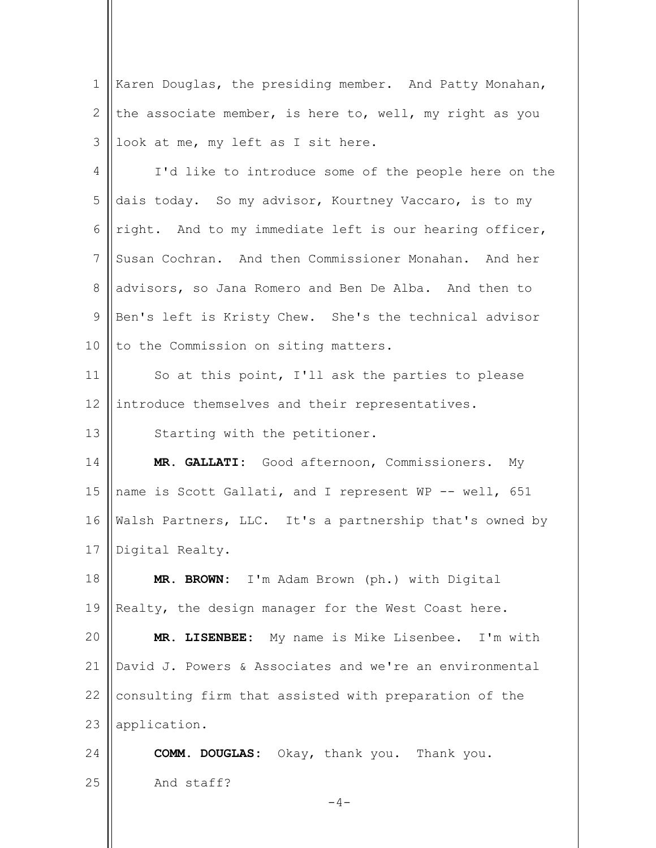| 1               | Karen Douglas, the presiding member. And Patty Monahan, |
|-----------------|---------------------------------------------------------|
| 2               | the associate member, is here to, well, my right as you |
| 3               | look at me, my left as I sit here.                      |
| 4               | I'd like to introduce some of the people here on the    |
| 5               | dais today. So my advisor, Kourtney Vaccaro, is to my   |
| 6               | right. And to my immediate left is our hearing officer, |
| $7\phantom{.0}$ | Susan Cochran. And then Commissioner Monahan. And her   |
| $8\,$           | advisors, so Jana Romero and Ben De Alba. And then to   |
| $\mathcal{G}$   | Ben's left is Kristy Chew. She's the technical advisor  |
| 10              | to the Commission on siting matters.                    |
| 11              | So at this point, I'll ask the parties to please        |
| 12              | introduce themselves and their representatives.         |
| 13              | Starting with the petitioner.                           |
| 14              | MR. GALLATI: Good afternoon, Commissioners. My          |
| 15              | name is Scott Gallati, and I represent WP -- well, 651  |
| 16              | Walsh Partners, LLC. It's a partnership that's owned by |
| 17              | Digital Realty.                                         |
| 18              | MR. BROWN: I'm Adam Brown (ph.) with Digital            |
| 19              | Realty, the design manager for the West Coast here.     |
| 20              | MR. LISENBEE: My name is Mike Lisenbee.<br>I'm with     |
| 21              | David J. Powers & Associates and we're an environmental |
| 22              | consulting firm that assisted with preparation of the   |
| 23              | application.                                            |
| 24              | <b>COMM. DOUGLAS:</b> Okay, thank you. Thank you.       |
| 25              | And staff?                                              |
|                 | $-4-$                                                   |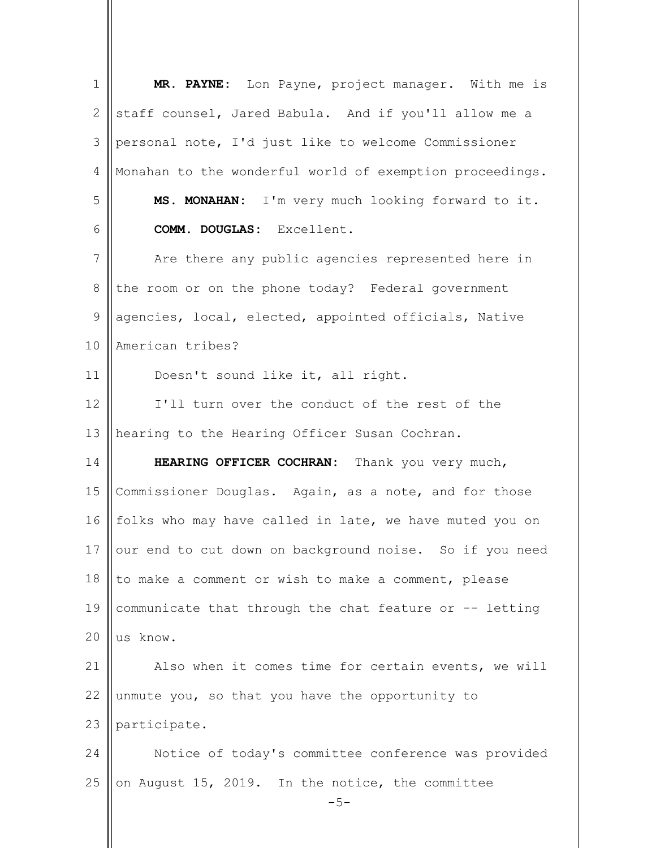| $\mathbf 1$          | MR. PAYNE: Lon Payne, project manager. With me is        |
|----------------------|----------------------------------------------------------|
| 2                    | staff counsel, Jared Babula. And if you'll allow me a    |
| 3                    | personal note, I'd just like to welcome Commissioner     |
| $\overline{4}$       | Monahan to the wonderful world of exemption proceedings. |
| 5                    | MS. MONAHAN: I'm very much looking forward to it.        |
| 6                    | COMM. DOUGLAS: Excellent.                                |
| 7                    | Are there any public agencies represented here in        |
| $\,8\,$              | the room or on the phone today? Federal government       |
| 9                    | agencies, local, elected, appointed officials, Native    |
| 10                   | American tribes?                                         |
| 11                   | Doesn't sound like it, all right.                        |
| 12                   | I'll turn over the conduct of the rest of the            |
| 13                   | hearing to the Hearing Officer Susan Cochran.            |
|                      |                                                          |
| 14                   | HEARING OFFICER COCHRAN: Thank you very much,            |
| 15                   | Commissioner Douglas. Again, as a note, and for those    |
|                      | folks who may have called in late, we have muted you on  |
|                      | our end to cut down on background noise. So if you need  |
| 16<br>17<br>18       | to make a comment or wish to make a comment, please      |
| 19                   | communicate that through the chat feature or -- letting  |
| 20                   | us know.                                                 |
|                      | Also when it comes time for certain events, we will      |
|                      | unmute you, so that you have the opportunity to          |
|                      | participate.                                             |
| 21<br>22<br>23<br>24 | Notice of today's committee conference was provided      |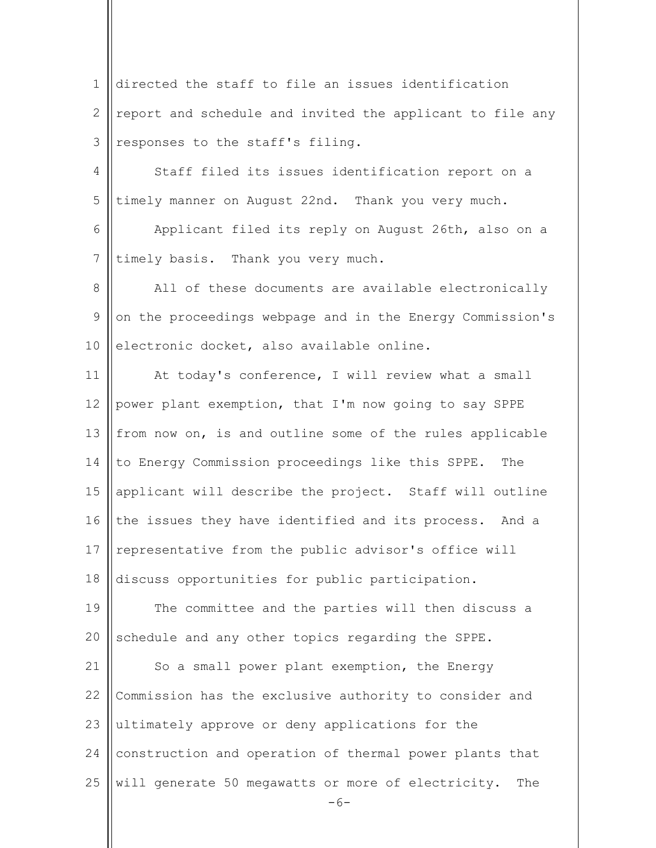$-6-$ 1 2 3 4 5 6 7 8 9 10 11 12 13 14 15 16 17 18 19  $20$ 21 22 23 24 25 directed the staff to file an issues identification report and schedule and invited the applicant to file any responses to the staff's filing. Staff filed its issues identification report on a timely manner on August 22nd. Thank you very much. Applicant filed its reply on August 26th, also on a timely basis. Thank you very much. All of these documents are available electronically on the proceedings webpage and in the Energy Commission's electronic docket, also available online. At today's conference, I will review what a small power plant exemption, that I'm now going to say SPPE from now on, is and outline some of the rules applicable to Energy Commission proceedings like this SPPE. The applicant will describe the project. Staff will outline the issues they have identified and its process. And a representative from the public advisor's office will discuss opportunities for public participation. The committee and the parties will then discuss a schedule and any other topics regarding the SPPE. So a small power plant exemption, the Energy Commission has the exclusive authority to consider and ultimately approve or deny applications for the construction and operation of thermal power plants that will generate 50 megawatts or more of electricity. The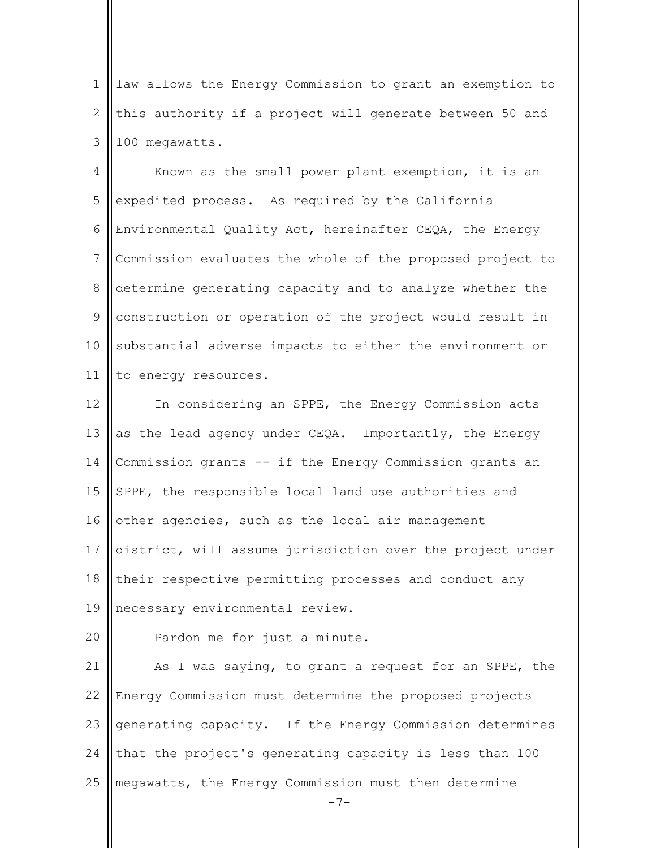1 2 3 law allows the Energy Commission to grant an exemption to this authority if a project will generate between 50 and 100 megawatts.

4 5 6 7 8 9 10 11 Known as the small power plant exemption, it is an expedited process. As required by the California Environmental Quality Act, hereinafter CEQA, the Energy Commission evaluates the whole of the proposed project to determine generating capacity and to analyze whether the construction or operation of the project would result in substantial adverse impacts to either the environment or to energy resources.

12 13 14 15 16 17 18 19 In considering an SPPE, the Energy Commission acts as the lead agency under CEQA. Importantly, the Energy Commission grants -- if the Energy Commission grants an SPPE, the responsible local land use authorities and other agencies, such as the local air management district, will assume jurisdiction over the project under their respective permitting processes and conduct any necessary environmental review.

20 Pardon me for just a minute.

21 22 23 24 25 As I was saying, to grant a request for an SPPE, the Energy Commission must determine the proposed projects generating capacity. If the Energy Commission determines that the project's generating capacity is less than 100 megawatts, the Energy Commission must then determine

 $-7-$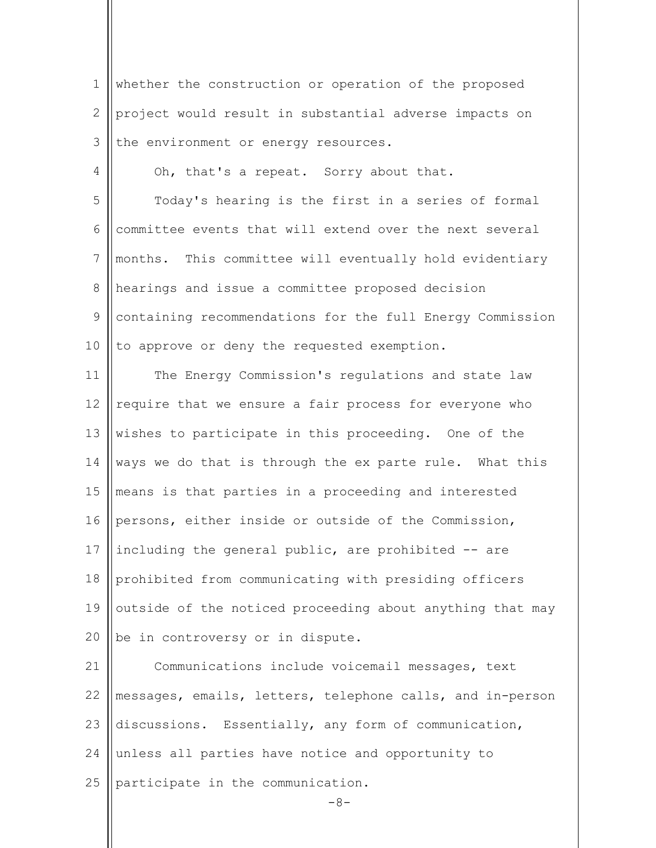| $\mathbf 1$    | whether the construction or operation of the proposed     |
|----------------|-----------------------------------------------------------|
| 2              | project would result in substantial adverse impacts on    |
| 3              | the environment or energy resources.                      |
| $\overline{4}$ | Oh, that's a repeat. Sorry about that.                    |
| 5              | Today's hearing is the first in a series of formal        |
| 6              | committee events that will extend over the next several   |
| 7              | months. This committee will eventually hold evidentiary   |
| $8\,$          | hearings and issue a committee proposed decision          |
| 9              | containing recommendations for the full Energy Commission |
| 10             | to approve or deny the requested exemption.               |
| 11             | The Energy Commission's regulations and state law         |
| 12             | require that we ensure a fair process for everyone who    |
| 13             | wishes to participate in this proceeding. One of the      |
| 14             | ways we do that is through the ex parte rule. What this   |
| 15             | means is that parties in a proceeding and interested      |
| 16             | persons, either inside or outside of the Commission,      |
| 17             | including the general public, are prohibited -- are       |
| 18             | prohibited from communicating with presiding officers     |
| 19             | outside of the noticed proceeding about anything that may |
| 20             | be in controversy or in dispute.                          |
| 21             | Communications include voicemail messages, text           |
| 22             | messages, emails, letters, telephone calls, and in-person |
| 23             | discussions. Essentially, any form of communication,      |
| 24             | unless all parties have notice and opportunity to         |
| 25             | participate in the communication.                         |
|                | $-8-$                                                     |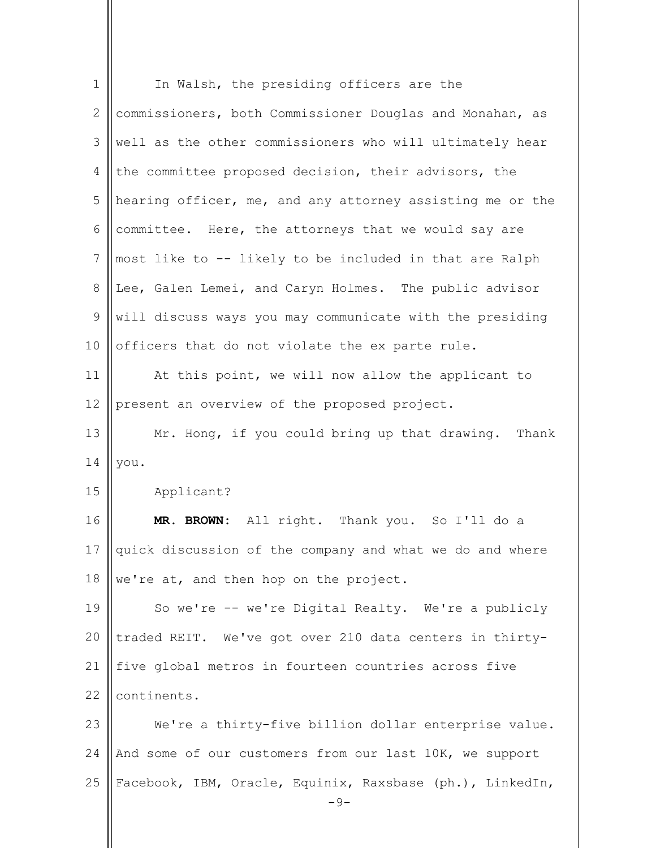| $\mathbf 1$                | In Walsh, the presiding officers are the                  |
|----------------------------|-----------------------------------------------------------|
| 2                          | commissioners, both Commissioner Douglas and Monahan, as  |
| 3                          | well as the other commissioners who will ultimately hear  |
| 4                          | the committee proposed decision, their advisors, the      |
| 5                          | hearing officer, me, and any attorney assisting me or the |
| 6                          | committee. Here, the attorneys that we would say are      |
| $7\phantom{.0}$            | most like to -- likely to be included in that are Ralph   |
| 8                          | Lee, Galen Lemei, and Caryn Holmes. The public advisor    |
| 9                          | will discuss ways you may communicate with the presiding  |
| 10                         | officers that do not violate the ex parte rule.           |
| 11                         | At this point, we will now allow the applicant to         |
| 12                         | present an overview of the proposed project.              |
| 13                         | Mr. Hong, if you could bring up that drawing. Thank       |
|                            |                                                           |
| 14                         | you.                                                      |
| 15                         | Applicant?                                                |
|                            | MR. BROWN: All right. Thank you. So I'll do a             |
|                            | quick discussion of the company and what we do and where  |
|                            | we're at, and then hop on the project.                    |
|                            | So we're -- we're Digital Realty. We're a publicly        |
| 16<br>17<br>18<br>19<br>20 | traded REIT. We've got over 210 data centers in thirty-   |
| 21                         | five global metros in fourteen countries across five      |
| 22                         | continents.                                               |
| 23                         | We're a thirty-five billion dollar enterprise value.      |
| 24                         | And some of our customers from our last 10K, we support   |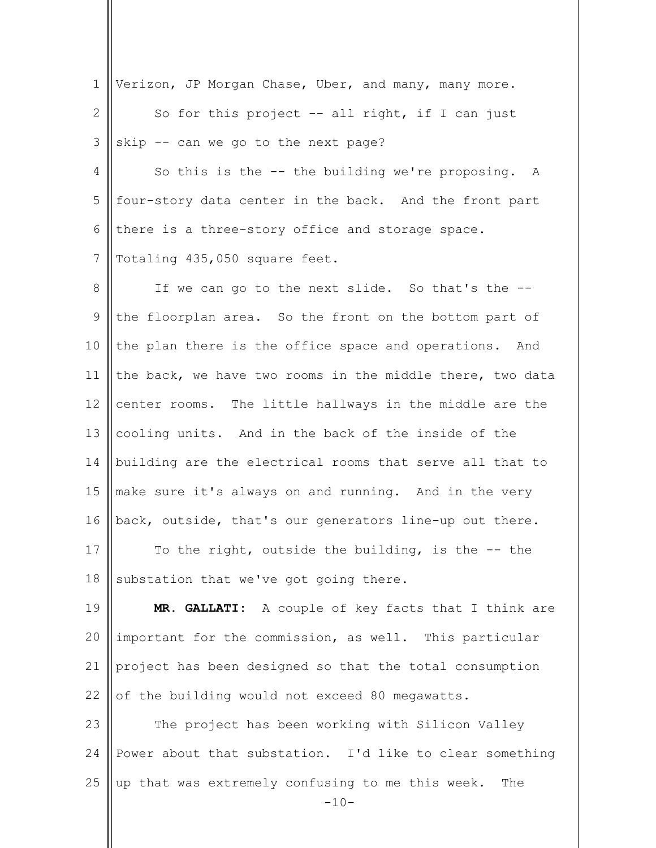| $\mathbf 1$  | Verizon, JP Morgan Chase, Uber, and many, many more.              |
|--------------|-------------------------------------------------------------------|
| $\mathbf{2}$ | So for this project $--$ all right, if I can just                 |
| 3            | skip -- can we go to the next page?                               |
| 4            | So this is the -- the building we're proposing. A                 |
| 5            | four-story data center in the back. And the front part            |
| 6            | there is a three-story office and storage space.                  |
| 7            | Totaling 435,050 square feet.                                     |
| 8            | If we can go to the next slide. So that's the --                  |
| 9            | the floorplan area. So the front on the bottom part of            |
| 10           | the plan there is the office space and operations. And            |
| 11           | the back, we have two rooms in the middle there, two data         |
| 12           | center rooms. The little hallways in the middle are the           |
| 13           | cooling units. And in the back of the inside of the               |
| 14           | building are the electrical rooms that serve all that to          |
| 15           | make sure it's always on and running. And in the very             |
| 16           | back, outside, that's our generators line-up out there.           |
| 17           | To the right, outside the building, is the $-$ - the              |
| 18           | substation that we've got going there.                            |
| 19           | MR. GALLATI: A couple of key facts that I think are               |
| 20           | important for the commission, as well. This particular            |
| 21           | project has been designed so that the total consumption           |
| 22           | of the building would not exceed 80 megawatts.                    |
| 23           | The project has been working with Silicon Valley                  |
| 24           | Power about that substation. I'd like to clear something          |
| 25           | up that was extremely confusing to me this week.<br>The<br>$-10-$ |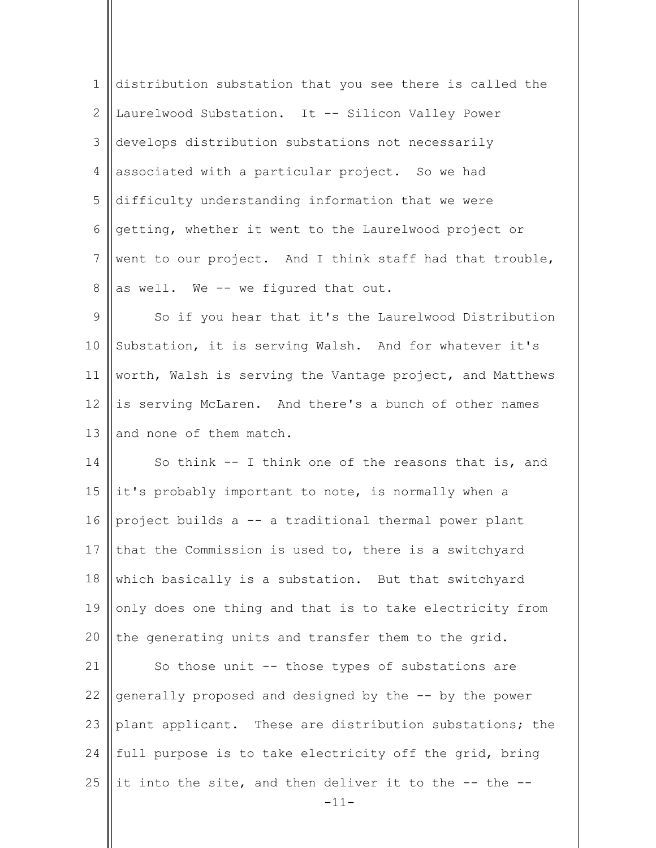1 2 3 4 5 6 7 8 distribution substation that you see there is called the Laurelwood Substation. It -- Silicon Valley Power develops distribution substations not necessarily associated with a particular project. So we had difficulty understanding information that we were getting, whether it went to the Laurelwood project or went to our project. And I think staff had that trouble, as well. We -- we figured that out.

9 10 11 12 13 So if you hear that it's the Laurelwood Distribution Substation, it is serving Walsh. And for whatever it's worth, Walsh is serving the Vantage project, and Matthews is serving McLaren. And there's a bunch of other names and none of them match.

14 15 16 17 18 19 20 So think -- I think one of the reasons that is, and it's probably important to note, is normally when a project builds a -- a traditional thermal power plant that the Commission is used to, there is a switchyard which basically is a substation. But that switchyard only does one thing and that is to take electricity from the generating units and transfer them to the grid.

21 22 23 24 25 So those unit -- those types of substations are generally proposed and designed by the -- by the power plant applicant. These are distribution substations; the full purpose is to take electricity off the grid, bring it into the site, and then deliver it to the -- the --

-11-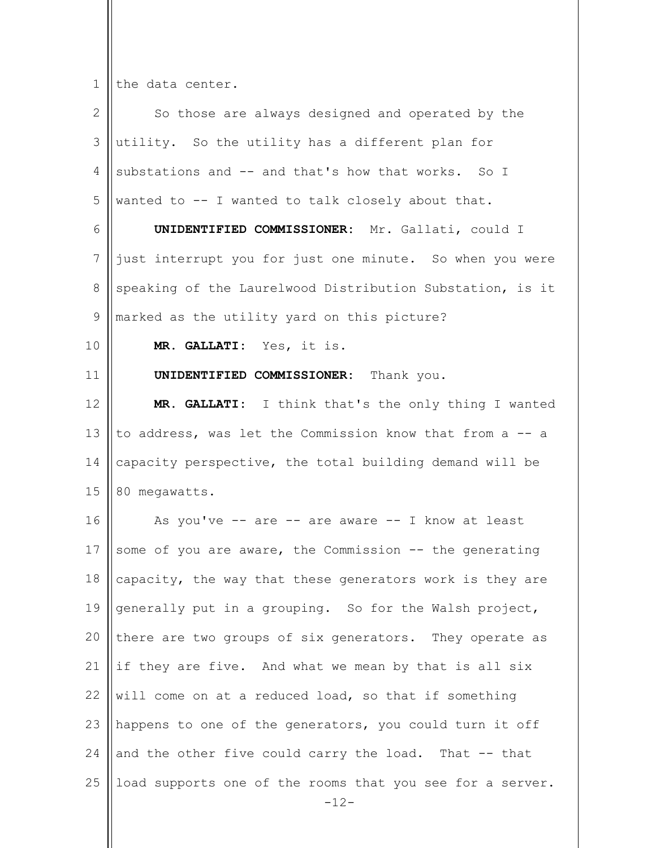$1$  | the data center.

| $\mathbf{2}$   | So those are always designed and operated by the          |
|----------------|-----------------------------------------------------------|
| 3              | utility. So the utility has a different plan for          |
| 4              | substations and -- and that's how that works. So I        |
| 5              | wanted to -- I wanted to talk closely about that.         |
| 6              | UNIDENTIFIED COMMISSIONER: Mr. Gallati, could I           |
| $\overline{7}$ | just interrupt you for just one minute. So when you were  |
| 8              | speaking of the Laurelwood Distribution Substation, is it |
| $\mathsf 9$    | marked as the utility yard on this picture?               |
| 10             | MR. GALLATI: Yes, it is.                                  |
| 11             | UNIDENTIFIED COMMISSIONER: Thank you.                     |
| 12             | MR. GALLATI: I think that's the only thing I wanted       |
| 13             | to address, was let the Commission know that from a -- a  |
| 14             | capacity perspective, the total building demand will be   |
| 15             | 80 megawatts.                                             |
| 16             | As you've -- are -- are aware -- I know at least          |
| 17             | some of you are aware, the Commission -- the generating   |
| 18             | capacity, the way that these generators work is they are  |
| 19             | generally put in a grouping. So for the Walsh project,    |
| 20             | there are two groups of six generators. They operate as   |
| 21             | if they are five. And what we mean by that is all six     |
| 22             | will come on at a reduced load, so that if something      |
| 23             | happens to one of the generators, you could turn it off   |
| 24             | and the other five could carry the load. That -- that     |
| 25             | load supports one of the rooms that you see for a server. |
|                | $-12-$                                                    |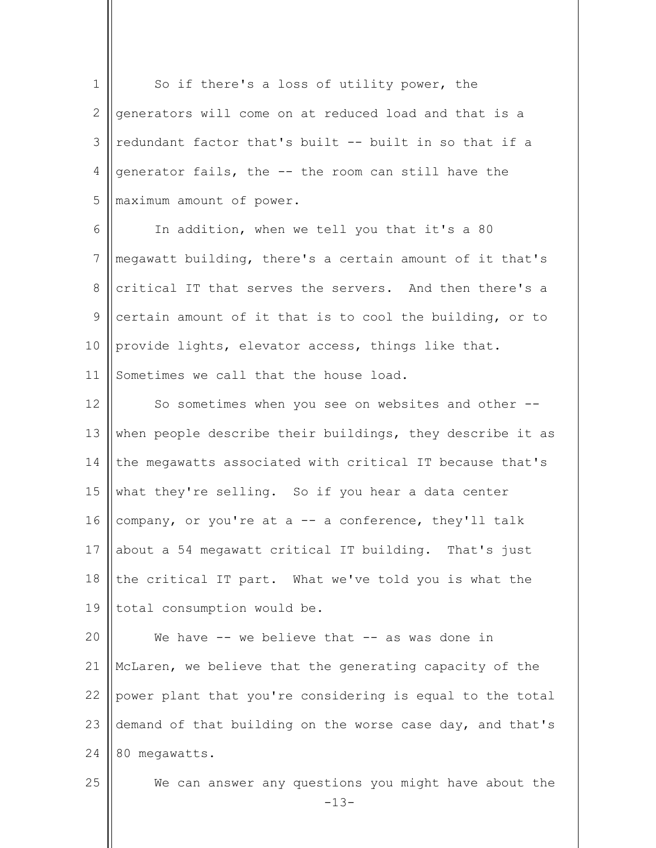| $\mathbf 1$     | So if there's a loss of utility power, the                     |
|-----------------|----------------------------------------------------------------|
| 2               | generators will come on at reduced load and that is a          |
| 3               | redundant factor that's built -- built in so that if a         |
| 4               | generator fails, the -- the room can still have the            |
| 5               | maximum amount of power.                                       |
| 6               | In addition, when we tell you that it's a 80                   |
| $7\phantom{.0}$ | megawatt building, there's a certain amount of it that's       |
| 8               | critical IT that serves the servers. And then there's a        |
| 9               | certain amount of it that is to cool the building, or to       |
| 10              | provide lights, elevator access, things like that.             |
| 11              | Sometimes we call that the house load.                         |
| 12              | So sometimes when you see on websites and other --             |
| 13              | when people describe their buildings, they describe it as      |
| 14              | the megawatts associated with critical IT because that's       |
| 15              | what they're selling. So if you hear a data center             |
| 16              | company, or you're at a -- a conference, they'll talk          |
| 17              | about a 54 megawatt critical IT building. That's just          |
| 18              | the critical IT part. What we've told you is what the          |
| 19              | total consumption would be.                                    |
| 20              | We have -- we believe that -- as was done in                   |
| 21              | McLaren, we believe that the generating capacity of the        |
| 22              | power plant that you're considering is equal to the total      |
| 23              | demand of that building on the worse case day, and that's      |
| 24              | 80 megawatts.                                                  |
| 25              | We can answer any questions you might have about the<br>$-13-$ |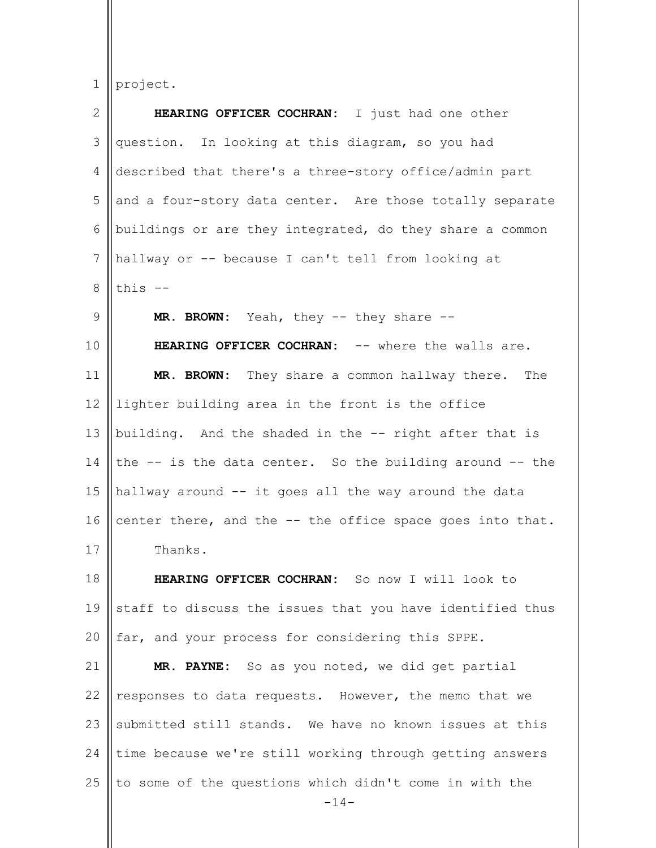1 project.

| $\mathbf{2}$   | HEARING OFFICER COCHRAN: I just had one other                    |
|----------------|------------------------------------------------------------------|
| 3              | question. In looking at this diagram, so you had                 |
| 4              | described that there's a three-story office/admin part           |
| 5              | and a four-story data center. Are those totally separate         |
| 6              | buildings or are they integrated, do they share a common         |
| $7\phantom{.}$ | hallway or -- because I can't tell from looking at               |
| 8              | this $-$                                                         |
| $\mathcal{G}$  | MR. BROWN: Yeah, they -- they share --                           |
| 10             | HEARING OFFICER COCHRAN: -- where the walls are.                 |
| 11             | MR. BROWN: They share a common hallway there. The                |
| 12             | lighter building area in the front is the office                 |
| 13             | building. And the shaded in the -- right after that is           |
| 14             | the $-$ is the data center. So the building around $-$ the       |
| 15             | hallway around -- it goes all the way around the data            |
| 16             | center there, and the -- the office space goes into that.        |
| 17             | Thanks.                                                          |
| 18             | HEARING OFFICER COCHRAN: So now I will look to                   |
| 19             | staff to discuss the issues that you have identified thus        |
| 20             | far, and your process for considering this SPPE.                 |
| 21             | MR. PAYNE: So as you noted, we did get partial                   |
| 22             | responses to data requests. However, the memo that we            |
| 23             | submitted still stands. We have no known issues at this          |
| 24             | time because we're still working through getting answers         |
| 25             | to some of the questions which didn't come in with the<br>$-14-$ |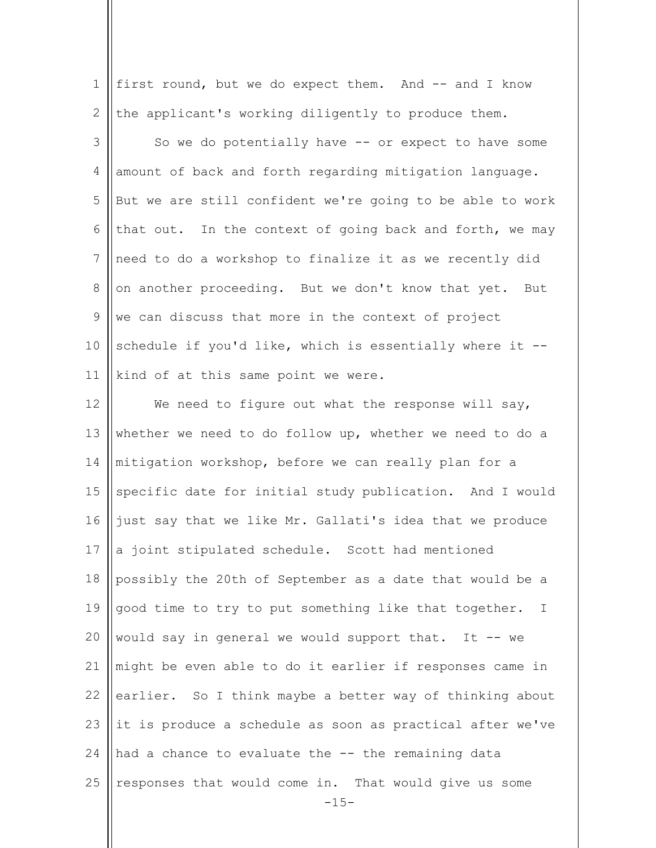| $\mathbf 1$ | first round, but we do expect them. And -- and I know            |
|-------------|------------------------------------------------------------------|
| 2           | the applicant's working diligently to produce them.              |
| 3           | So we do potentially have -- or expect to have some              |
| 4           | amount of back and forth regarding mitigation language.          |
| 5           | But we are still confident we're going to be able to work        |
| 6           | that out. In the context of going back and forth, we may         |
| 7           | need to do a workshop to finalize it as we recently did          |
| $8\,$       | on another proceeding. But we don't know that yet. But           |
| 9           | we can discuss that more in the context of project               |
| 10          | schedule if you'd like, which is essentially where it --         |
| 11          | kind of at this same point we were.                              |
| 12          | We need to figure out what the response will say,                |
| 13          | whether we need to do follow up, whether we need to do a         |
| 14          | mitigation workshop, before we can really plan for a             |
| 15          | specific date for initial study publication. And I would         |
| 16          | just say that we like Mr. Gallati's idea that we produce         |
| 17          | a joint stipulated schedule. Scott had mentioned                 |
| $18\,$      | possibly the 20th of September as a date that would be a         |
| 19          | good time to try to put something like that together.<br>$\perp$ |
| 20          | would say in general we would support that. It -- we             |
| 21          | might be even able to do it earlier if responses came in         |
| 22          | earlier. So I think maybe a better way of thinking about         |
| 23          | it is produce a schedule as soon as practical after we've        |
| 24          | had a chance to evaluate the -- the remaining data               |
| 25          | responses that would come in. That would give us some<br>$-15-$  |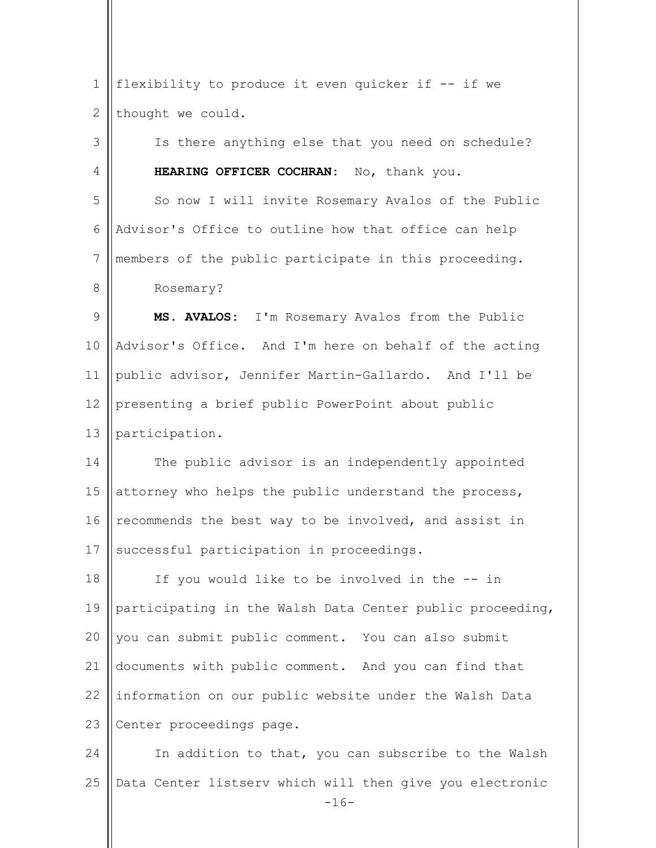| $\mathbf 1$  | flexibility to produce it even quicker if -- if we                 |
|--------------|--------------------------------------------------------------------|
| $\mathbf{2}$ | thought we could.                                                  |
| 3            | Is there anything else that you need on schedule?                  |
| 4            | HEARING OFFICER COCHRAN: No, thank you.                            |
| 5            | So now I will invite Rosemary Avalos of the Public                 |
| 6            | Advisor's Office to outline how that office can help               |
| 7            | members of the public participate in this proceeding.              |
| 8            | Rosemary?                                                          |
| $\mathsf 9$  | MS. AVALOS: I'm Rosemary Avalos from the Public                    |
| 10           | Advisor's Office. And I'm here on behalf of the acting             |
| 11           | public advisor, Jennifer Martin-Gallardo. And I'll be              |
| 12           | presenting a brief public PowerPoint about public                  |
| 13           | participation.                                                     |
| 14           | The public advisor is an independently appointed                   |
| 15           | attorney who helps the public understand the process,              |
| 16           | recommends the best way to be involved, and assist in              |
| 17           | successful participation in proceedings.                           |
| 18           | If you would like to be involved in the -- in                      |
| 19           | participating in the Walsh Data Center public proceeding,          |
| 20           | you can submit public comment. You can also submit                 |
| 21           | documents with public comment. And you can find that               |
| 22           | information on our public website under the Walsh Data             |
| 23           | Center proceedings page.                                           |
| 24           | In addition to that, you can subscribe to the Walsh                |
| 25           | Data Center listserv which will then give you electronic<br>$-16-$ |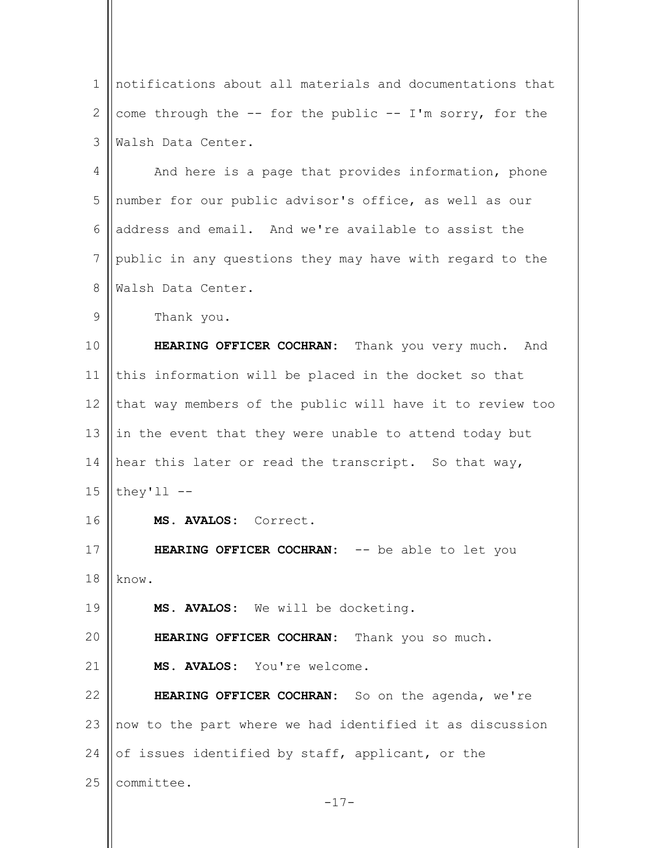| 1             | notifications about all materials and documentations that      |
|---------------|----------------------------------------------------------------|
| $\mathbf{2}$  | come through the $-$ - for the public $-$ - I'm sorry, for the |
| 3             | Walsh Data Center.                                             |
| 4             | And here is a page that provides information, phone            |
| 5             | number for our public advisor's office, as well as our         |
| 6             | address and email. And we're available to assist the           |
| 7             | public in any questions they may have with regard to the       |
| 8             | Walsh Data Center.                                             |
| $\mathcal{G}$ | Thank you.                                                     |
| 10            | HEARING OFFICER COCHRAN: Thank you very much. And              |
| 11            | this information will be placed in the docket so that          |
| 12            | that way members of the public will have it to review too      |
| 13            | in the event that they were unable to attend today but         |
| 14            | hear this later or read the transcript. So that way,           |
| 15            | they'll $--$                                                   |
| 16            | MS. AVALOS: Correct.                                           |
| 17            | HEARING OFFICER COCHRAN: -- be able to let you                 |
| 18            | know.                                                          |
| 19            | MS. AVALOS: We will be docketing.                              |
| 20            | HEARING OFFICER COCHRAN: Thank you so much.                    |
| 21            | MS. AVALOS: You're welcome.                                    |
| 22            | HEARING OFFICER COCHRAN: So on the agenda, we're               |
| 23            | now to the part where we had identified it as discussion       |
| 24            | of issues identified by staff, applicant, or the               |
| 25            | committee.                                                     |
|               | $-17-$                                                         |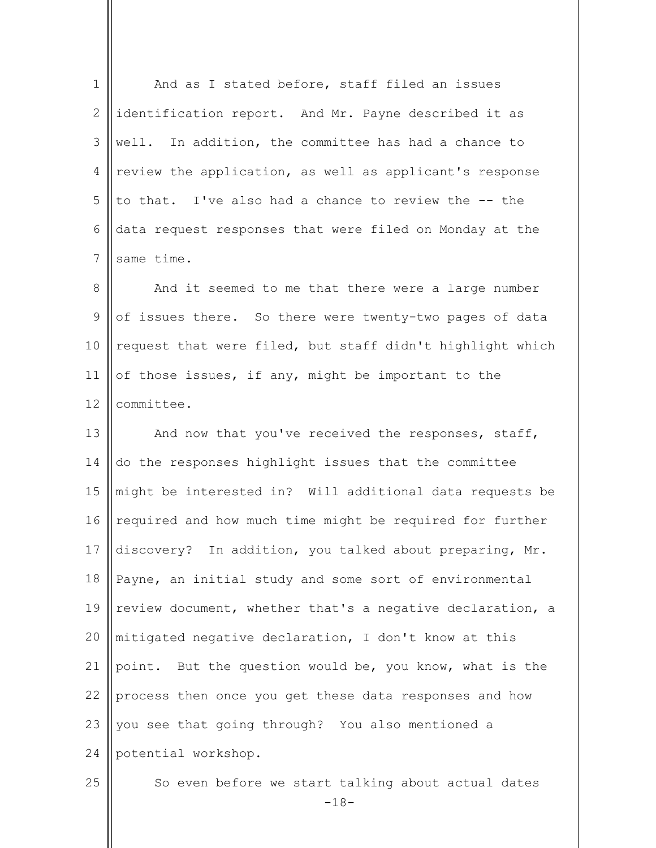| $\mathbf 1$    | And as I stated before, staff filed an issues                |
|----------------|--------------------------------------------------------------|
| 2              | identification report. And Mr. Payne described it as         |
| $\mathfrak{Z}$ | well. In addition, the committee has had a chance to         |
| $\overline{4}$ | review the application, as well as applicant's response      |
| 5              | to that. I've also had a chance to review the -- the         |
| 6              | data request responses that were filed on Monday at the      |
| 7              | same time.                                                   |
| 8              | And it seemed to me that there were a large number           |
| 9              | of issues there. So there were twenty-two pages of data      |
| 10             | request that were filed, but staff didn't highlight which    |
| 11             | of those issues, if any, might be important to the           |
| 12             | committee.                                                   |
| 13             | And now that you've received the responses, staff,           |
| 14             | do the responses highlight issues that the committee         |
| 15             | might be interested in? Will additional data requests be     |
| 16             | required and how much time might be required for further     |
| 17             | discovery? In addition, you talked about preparing, Mr.      |
| 18             | Payne, an initial study and some sort of environmental       |
| 19             | review document, whether that's a negative declaration, a    |
| 20             | mitigated negative declaration, I don't know at this         |
| 21             | point. But the question would be, you know, what is the      |
| 22             | process then once you get these data responses and how       |
| 23             | you see that going through? You also mentioned a             |
| 24             | potential workshop.                                          |
| 25             | So even before we start talking about actual dates<br>$-18-$ |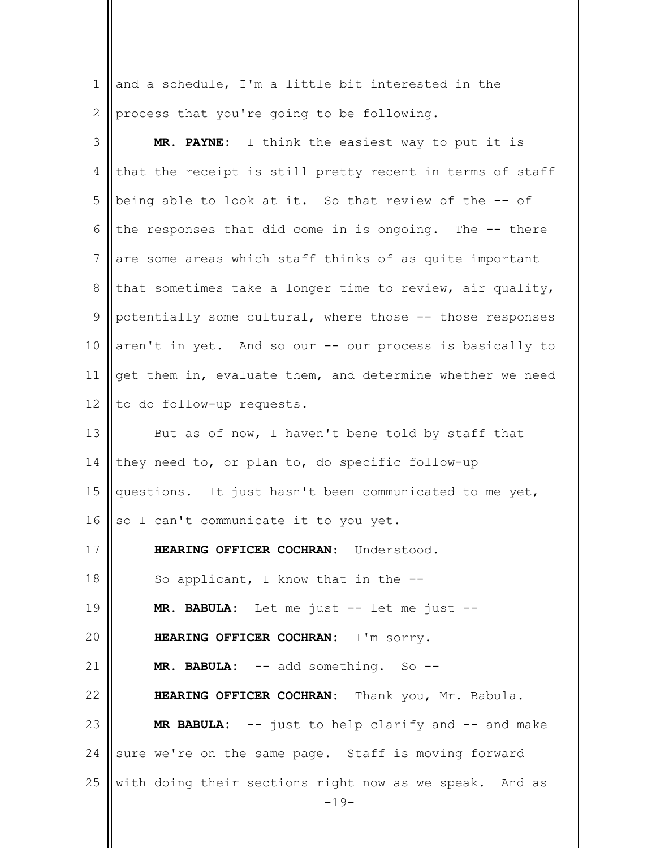1 2 and a schedule, I'm a little bit interested in the process that you're going to be following.

| 3           | MR. PAYNE: I think the easiest way to put it is                   |
|-------------|-------------------------------------------------------------------|
| 4           | that the receipt is still pretty recent in terms of staff         |
| 5           | being able to look at it. So that review of the -- of             |
| 6           | the responses that did come in is ongoing. The -- there           |
| 7           | are some areas which staff thinks of as quite important           |
| 8           | that sometimes take a longer time to review, air quality,         |
| $\mathsf 9$ | potentially some cultural, where those -- those responses         |
| 10          | aren't in yet. And so our -- our process is basically to          |
| 11          | get them in, evaluate them, and determine whether we need         |
| 12          | to do follow-up requests.                                         |
| 13          | But as of now, I haven't bene told by staff that                  |
| 14          | they need to, or plan to, do specific follow-up                   |
| 15          | questions. It just hasn't been communicated to me yet,            |
| 16          | so I can't communicate it to you yet.                             |
| 17          | HEARING OFFICER COCHRAN: Understood.                              |
| 18          | So applicant, I know that in the --                               |
| 19          | MR. BABULA: Let me just -- let me just --                         |
| 20          | HEARING OFFICER COCHRAN: I'm sorry.                               |
| 21          | MR. BABULA: -- add something. So --                               |
| 22          | HEARING OFFICER COCHRAN: Thank you, Mr. Babula.                   |
| 23          | MR BABULA: -- just to help clarify and -- and make                |
| 24          | sure we're on the same page. Staff is moving forward              |
| 25          | with doing their sections right now as we speak. And as<br>$-19-$ |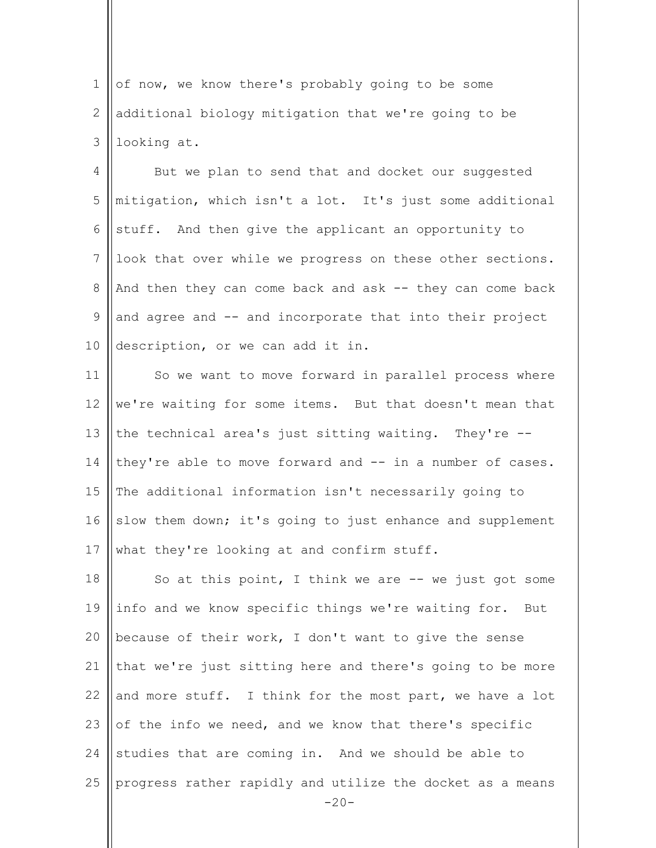1 2 3 of now, we know there's probably going to be some additional biology mitigation that we're going to be looking at.

4 5 6 7 8 9 10 But we plan to send that and docket our suggested mitigation, which isn't a lot. It's just some additional stuff. And then give the applicant an opportunity to look that over while we progress on these other sections. And then they can come back and ask -- they can come back and agree and -- and incorporate that into their project description, or we can add it in.

11 12 13 14 15 16 17 So we want to move forward in parallel process where we're waiting for some items. But that doesn't mean that the technical area's just sitting waiting. They're - they're able to move forward and -- in a number of cases. The additional information isn't necessarily going to slow them down; it's going to just enhance and supplement what they're looking at and confirm stuff.

 $-20-$ 18 19 20 21 22 23 24 25 So at this point, I think we are  $-$  we just got some info and we know specific things we're waiting for. But because of their work, I don't want to give the sense that we're just sitting here and there's going to be more and more stuff. I think for the most part, we have a lot of the info we need, and we know that there's specific studies that are coming in. And we should be able to progress rather rapidly and utilize the docket as a means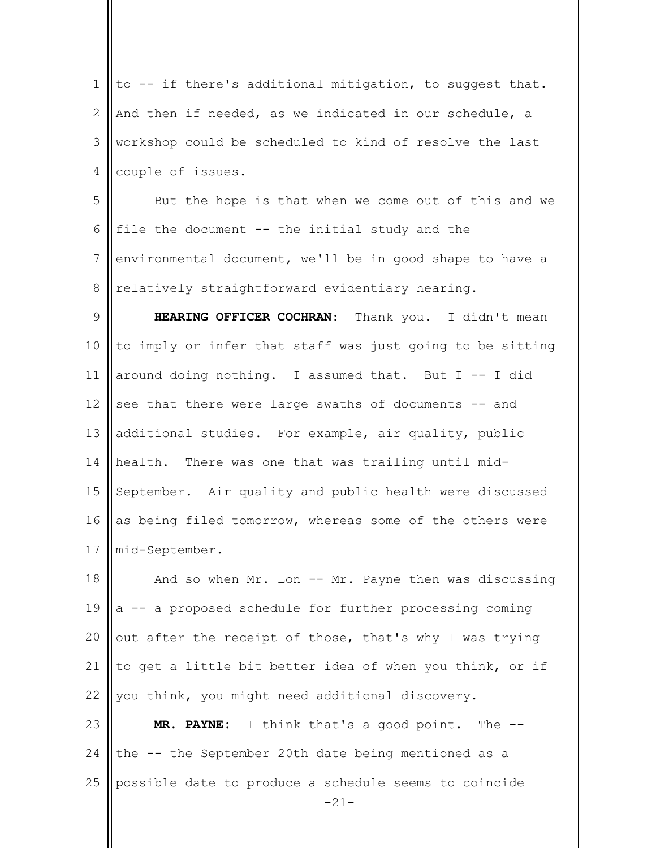1 2 3 4 5 6 7 8 9 10 11 12 13 14 15 16 17 18 19 20 21 22 23 24 25 to -- if there's additional mitigation, to suggest that. And then if needed, as we indicated in our schedule, a workshop could be scheduled to kind of resolve the last couple of issues. But the hope is that when we come out of this and we file the document -- the initial study and the environmental document, we'll be in good shape to have a relatively straightforward evidentiary hearing. HEARING OFFICER COCHRAN: Thank you. I didn't mean to imply or infer that staff was just going to be sitting around doing nothing. I assumed that. But  $I$  -- I did see that there were large swaths of documents -- and additional studies. For example, air quality, public health. There was one that was trailing until mid-September. Air quality and public health were discussed as being filed tomorrow, whereas some of the others were mid-September. And so when Mr. Lon -- Mr. Payne then was discussing a -- a proposed schedule for further processing coming out after the receipt of those, that's why I was trying to get a little bit better idea of when you think, or if you think, you might need additional discovery. **MR. PAYNE:** I think that's a good point. The - the -- the September 20th date being mentioned as a possible date to produce a schedule seems to coincide

-21-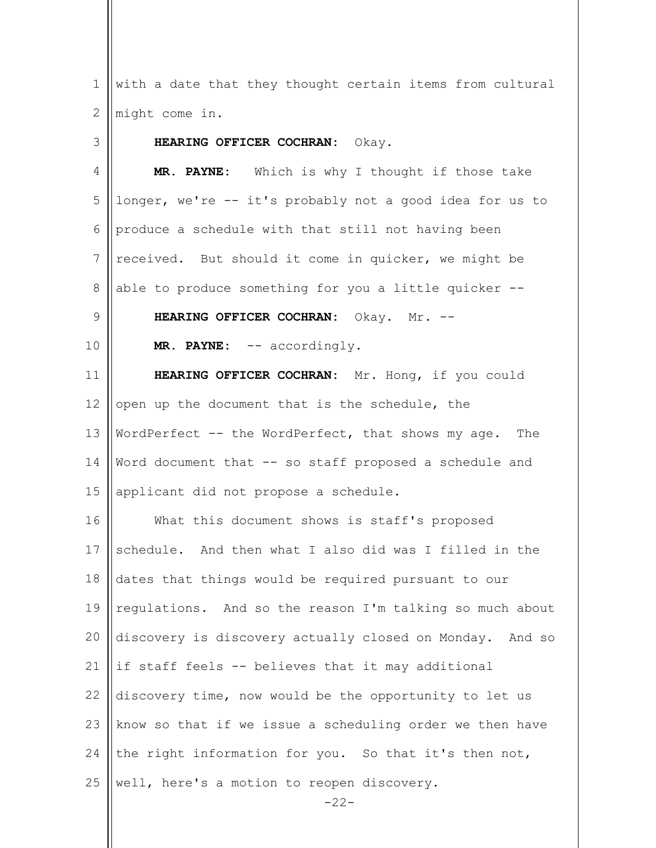$-22-$ 1 2 3 4 5 6 7 8 9 10 11 12 13 14 15 16 17 18 19 20 21 22 23 24 25 with a date that they thought certain items from cultural might come in. **HEARING OFFICER COCHRAN:** Okay. **MR. PAYNE:** Which is why I thought if those take longer, we're -- it's probably not a good idea for us to produce a schedule with that still not having been received. But should it come in quicker, we might be able to produce something for you a little quicker -- **HEARING OFFICER COCHRAN:** Okay. Mr. -- **MR. PAYNE:** -- accordingly. **HEARING OFFICER COCHRAN:** Mr. Hong, if you could open up the document that is the schedule, the WordPerfect -- the WordPerfect, that shows my age. The Word document that -- so staff proposed a schedule and applicant did not propose a schedule. What this document shows is staff's proposed schedule. And then what I also did was I filled in the dates that things would be required pursuant to our regulations. And so the reason I'm talking so much about discovery is discovery actually closed on Monday. And so if staff feels -- believes that it may additional discovery time, now would be the opportunity to let us know so that if we issue a scheduling order we then have the right information for you. So that it's then not, well, here's a motion to reopen discovery.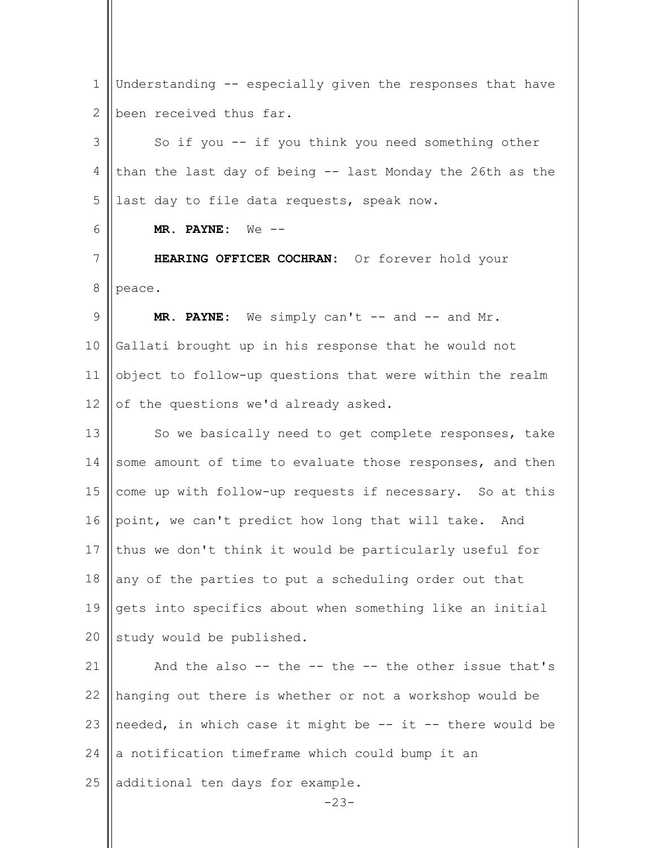$-23-$ 1 2 3 4 5 6 7 8 9 10 11 12 13 14 15 16 17 18 19  $20$ 21 22 23 24 25 Understanding -- especially given the responses that have been received thus far. So if you -- if you think you need something other than the last day of being -- last Monday the 26th as the last day to file data requests, speak now. **MR. PAYNE:** We -- **HEARING OFFICER COCHRAN:** Or forever hold your peace. MR. PAYNE: We simply can't -- and -- and Mr. Gallati brought up in his response that he would not object to follow-up questions that were within the realm of the questions we'd already asked. So we basically need to get complete responses, take some amount of time to evaluate those responses, and then come up with follow-up requests if necessary. So at this point, we can't predict how long that will take. And thus we don't think it would be particularly useful for any of the parties to put a scheduling order out that gets into specifics about when something like an initial study would be published. And the also -- the -- the -- the other issue that's hanging out there is whether or not a workshop would be needed, in which case it might be -- it -- there would be a notification timeframe which could bump it an additional ten days for example.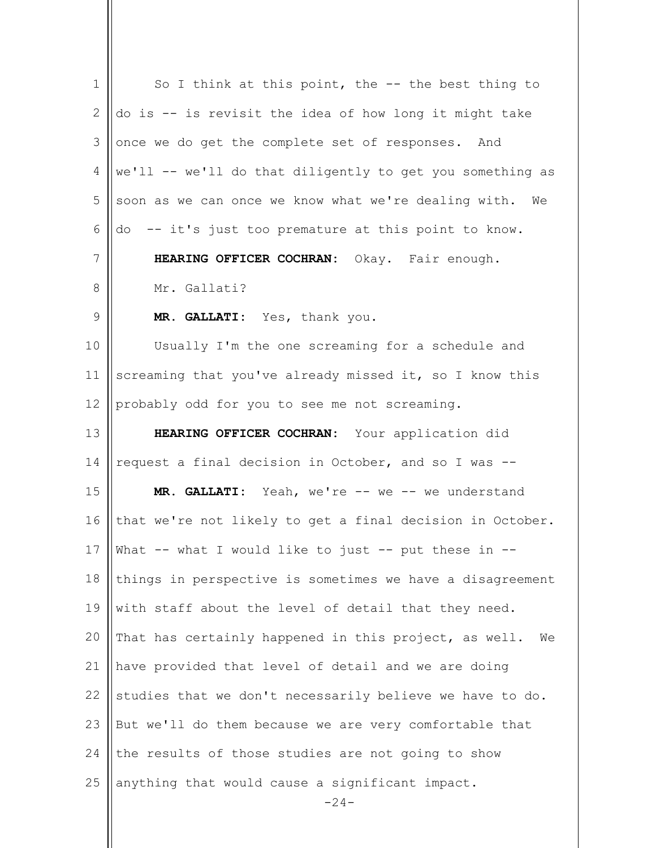| $\mathbf 1$ | So I think at this point, the -- the best thing to        |
|-------------|-----------------------------------------------------------|
| 2           | do is -- is revisit the idea of how long it might take    |
| 3           | once we do get the complete set of responses. And         |
| 4           | we'll -- we'll do that diligently to get you something as |
| 5           | soon as we can once we know what we're dealing with. We   |
| 6           | do -- it's just too premature at this point to know.      |
| 7           | HEARING OFFICER COCHRAN: Okay. Fair enough.               |
| 8           | Mr. Gallati?                                              |
| $\mathsf 9$ | MR. GALLATI: Yes, thank you.                              |
| 10          | Usually I'm the one screaming for a schedule and          |
| 11          | screaming that you've already missed it, so I know this   |
| 12          | probably odd for you to see me not screaming.             |
| 13          | HEARING OFFICER COCHRAN: Your application did             |
| 14          | request a final decision in October, and so I was --      |
| 15          | MR. GALLATI: Yeah, we're -- we -- we understand           |
| 16          | that we're not likely to get a final decision in October. |
| 17          | What -- what I would like to just -- put these in --      |
| 18          | things in perspective is sometimes we have a disagreement |
| 19          | with staff about the level of detail that they need.      |
| 20          | That has certainly happened in this project, as well. We  |
| 21          | have provided that level of detail and we are doing       |
| 22          | studies that we don't necessarily believe we have to do.  |
| 23          | But we'll do them because we are very comfortable that    |
| 24          | the results of those studies are not going to show        |
| 25          | anything that would cause a significant impact.<br>-24-   |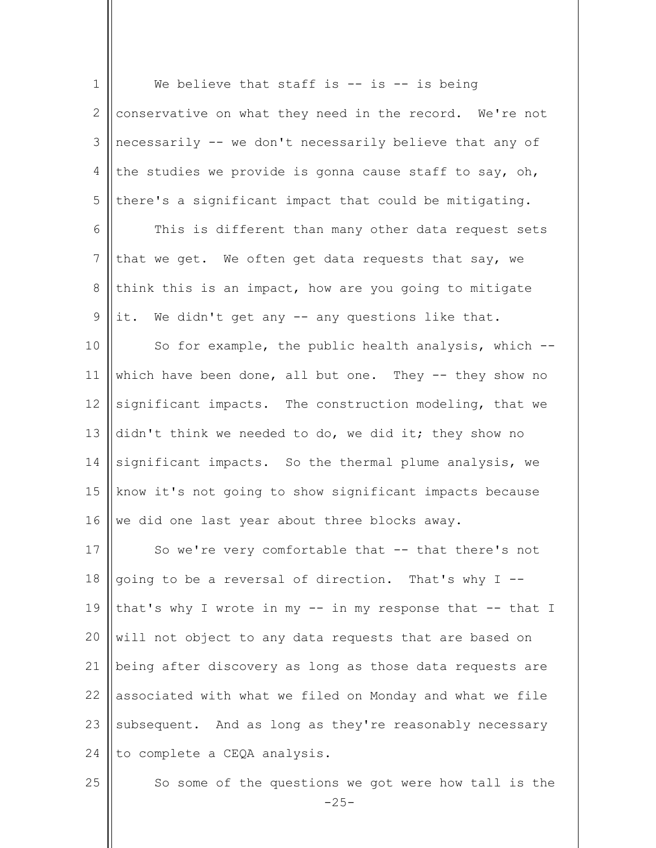| $\mathbf 1$    | We believe that staff is $-$ is $-$ is being              |
|----------------|-----------------------------------------------------------|
| 2              | conservative on what they need in the record. We're not   |
| 3              | necessarily -- we don't necessarily believe that any of   |
| $\overline{4}$ | the studies we provide is gonna cause staff to say, oh,   |
| 5              | there's a significant impact that could be mitigating.    |
| 6              | This is different than many other data request sets       |
| 7              | that we get. We often get data requests that say, we      |
| $8\,$          | think this is an impact, how are you going to mitigate    |
| $\mathsf 9$    | it. We didn't get any -- any questions like that.         |
| 10             | So for example, the public health analysis, which --      |
| 11             | which have been done, all but one. They $-$ they show no  |
| 12             | significant impacts. The construction modeling, that we   |
| 13             | didn't think we needed to do, we did it; they show no     |
| 14             | significant impacts. So the thermal plume analysis, we    |
| 15             | know it's not going to show significant impacts because   |
| 16             | we did one last year about three blocks away.             |
| 17             | So we're very comfortable that -- that there's not        |
| 18             | going to be a reversal of direction. That's why I --      |
| 19             | that's why I wrote in my -- in my response that -- that I |
| 20             | will not object to any data requests that are based on    |
| 21             | being after discovery as long as those data requests are  |
| 22             | associated with what we filed on Monday and what we file  |
| 23             | subsequent. And as long as they're reasonably necessary   |
| 24             | to complete a CEQA analysis.                              |
| 25             | So some of the questions we got were how tall is the      |

So some of the questions we got were how tall is the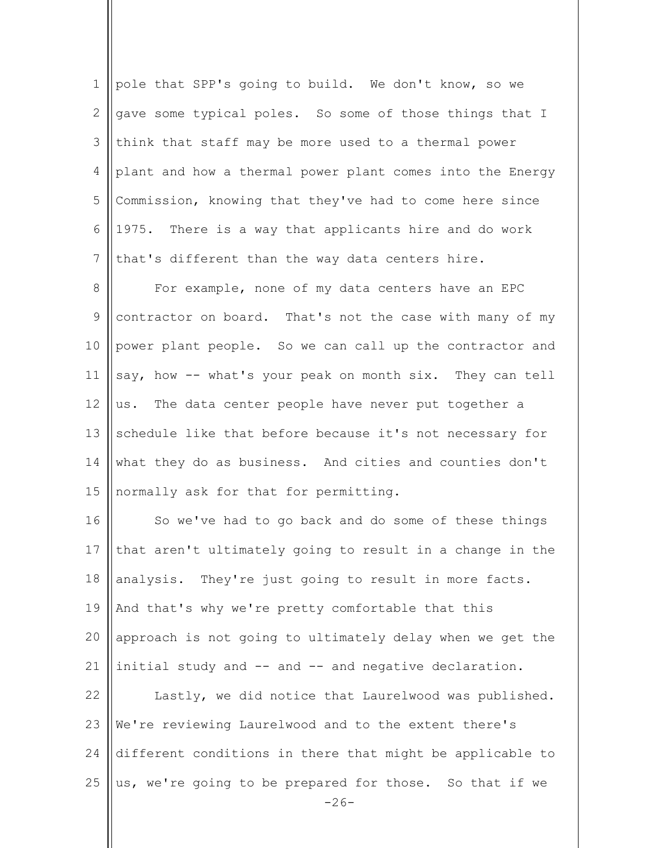|                | pole that SPP's going to build. We don't know, so we             |
|----------------|------------------------------------------------------------------|
| 2              | $ $ gave some typical poles. So some of those things that I      |
| 3 <sup>1</sup> | $\parallel$ think that staff may be more used to a thermal power |
| $\overline{4}$ | plant and how a thermal power plant comes into the Energy        |
| 5              | Commission, knowing that they've had to come here since          |
|                | $6$   1975. There is a way that applicants hire and do work      |
|                | that's different than the way data centers hire.                 |
| 8              | For example, none of my data centers have an EPC                 |

9 10 11 12 13 14 15 contractor on board. That's not the case with many of my power plant people. So we can call up the contractor and say, how -- what's your peak on month six. They can tell us. The data center people have never put together a schedule like that before because it's not necessary for what they do as business. And cities and counties don't normally ask for that for permitting.

 $-26-$ 16 17 18 19 20 21 22 23 24 25 So we've had to go back and do some of these things that aren't ultimately going to result in a change in the analysis. They're just going to result in more facts. And that's why we're pretty comfortable that this approach is not going to ultimately delay when we get the initial study and -- and -- and negative declaration. Lastly, we did notice that Laurelwood was published. We're reviewing Laurelwood and to the extent there's different conditions in there that might be applicable to us, we're going to be prepared for those. So that if we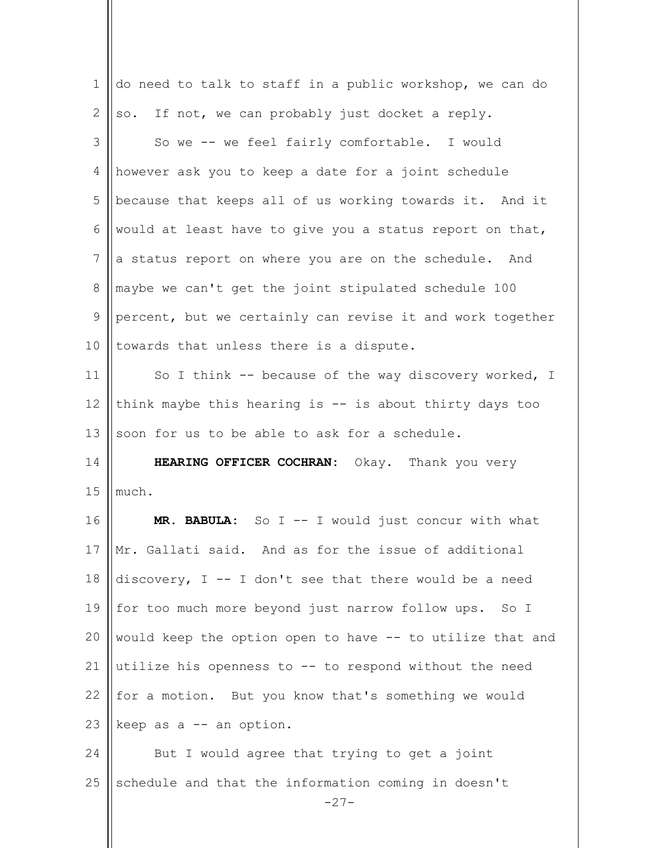| $\mathbf 1$  | do need to talk to staff in a public workshop, we can do  |
|--------------|-----------------------------------------------------------|
| $\mathbf{2}$ | so. If not, we can probably just docket a reply.          |
| 3            | So we -- we feel fairly comfortable. I would              |
| 4            | however ask you to keep a date for a joint schedule       |
| 5            | because that keeps all of us working towards it. And it   |
| 6            | would at least have to give you a status report on that,  |
| 7            | a status report on where you are on the schedule. And     |
| 8            | maybe we can't get the joint stipulated schedule 100      |
| 9            | percent, but we certainly can revise it and work together |
| 10           | towards that unless there is a dispute.                   |
| 11           | So I think -- because of the way discovery worked, I      |
| 12           | think maybe this hearing is $-$ is about thirty days too  |
| 13           | soon for us to be able to ask for a schedule.             |
|              |                                                           |
| 14           | HEARING OFFICER COCHRAN: Okay. Thank you very             |
| 15           | much.                                                     |
| 16           | MR. BABULA: So I -- I would just concur with what         |
|              | Mr. Gallati said. And as for the issue of additional      |
| 17<br>18     | discovery, $I - I$ don't see that there would be a need   |
| 19           | for too much more beyond just narrow follow ups. So I     |
| 20           | would keep the option open to have -- to utilize that and |
| 21           | utilize his openness to -- to respond without the need    |
| 22           | for a motion. But you know that's something we would      |
| 23           | keep as a -- an option.                                   |
| 24           | But I would agree that trying to get a joint              |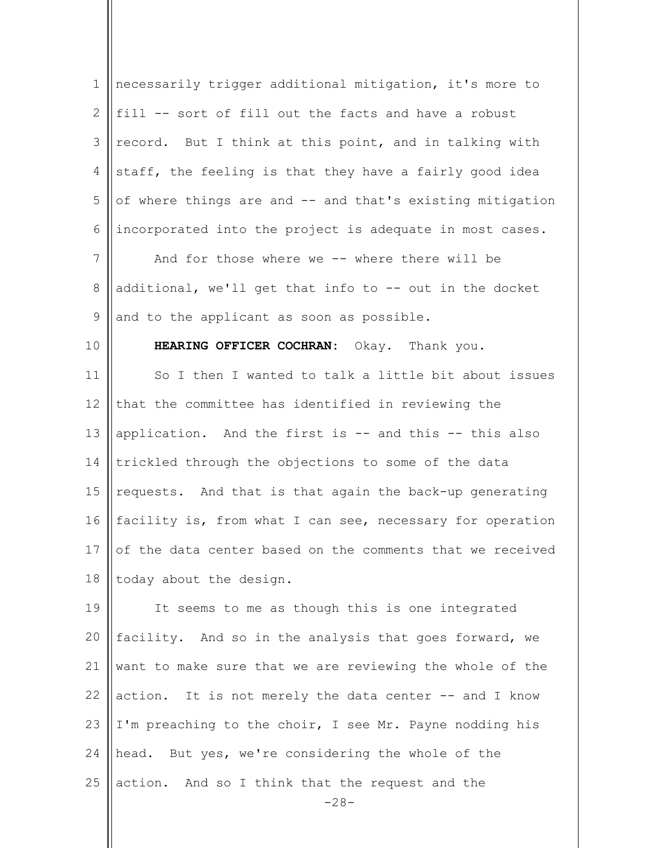| $\mathbf 1$    | necessarily trigger additional mitigation, it's more to                   |
|----------------|---------------------------------------------------------------------------|
| $\mathbf{2}$   | fill -- sort of fill out the facts and have a robust                      |
| 3              | record. But I think at this point, and in talking with                    |
| 4              | staff, the feeling is that they have a fairly good idea                   |
| 5              | of where things are and -- and that's existing mitigation                 |
| 6              | incorporated into the project is adequate in most cases.                  |
| $\overline{7}$ | And for those where we -- where there will be                             |
| 8              | additional, we'll get that info to -- out in the docket                   |
| $\mathsf 9$    | and to the applicant as soon as possible.                                 |
| 10             | HEARING OFFICER COCHRAN: Okay. Thank you.                                 |
| 11             | So I then I wanted to talk a little bit about issues                      |
| 12             | that the committee has identified in reviewing the                        |
| 13             | application. And the first is -- and this -- this also                    |
| 14             | trickled through the objections to some of the data                       |
| 15             | requests. And that is that again the back-up generating                   |
| 16             | facility is, from what I can see, necessary for operation                 |
|                | 17 $\vert\vert$ of the data center based on the comments that we received |
| 18             | today about the design.                                                   |
| 19             | It seems to me as though this is one integrated                           |
| 20             | facility. And so in the analysis that goes forward, we                    |
| 21             | want to make sure that we are reviewing the whole of the                  |
| 22             | action. It is not merely the data center -- and I know                    |
| 23             | I'm preaching to the choir, I see Mr. Payne nodding his                   |
| 24             | head. But yes, we're considering the whole of the                         |
| 25             | action. And so I think that the request and the<br>$-28-$                 |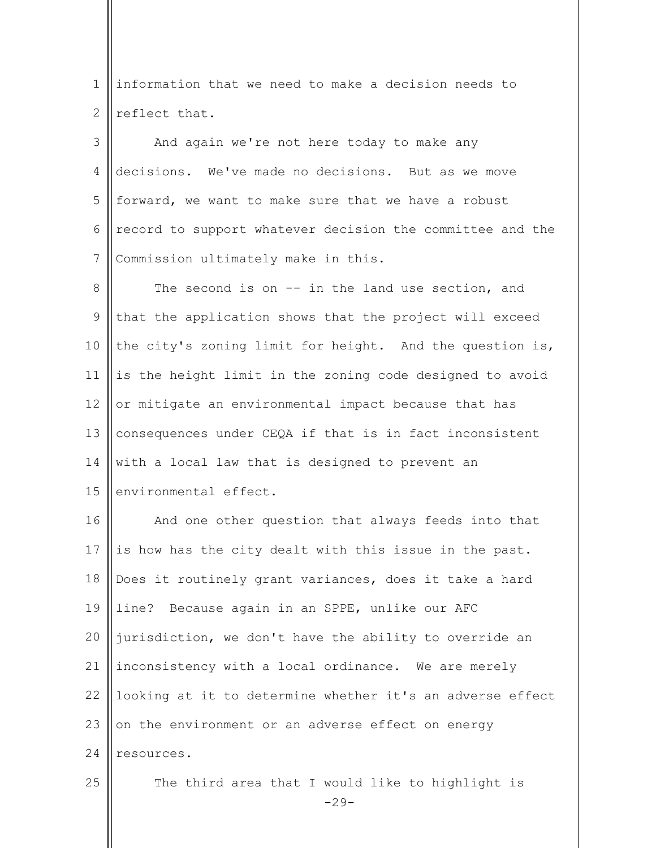1 2 information that we need to make a decision needs to reflect that.

3 4 5 6 7 And again we're not here today to make any decisions. We've made no decisions. But as we move forward, we want to make sure that we have a robust record to support whatever decision the committee and the Commission ultimately make in this.

8 9 10 11 12 13 14 15 The second is on -- in the land use section, and that the application shows that the project will exceed the city's zoning limit for height. And the question is, is the height limit in the zoning code designed to avoid or mitigate an environmental impact because that has consequences under CEQA if that is in fact inconsistent with a local law that is designed to prevent an environmental effect.

16 17 18 19  $20$ 21 22 23 24 25 And one other question that always feeds into that is how has the city dealt with this issue in the past. Does it routinely grant variances, does it take a hard line? Because again in an SPPE, unlike our AFC jurisdiction, we don't have the ability to override an inconsistency with a local ordinance. We are merely looking at it to determine whether it's an adverse effect on the environment or an adverse effect on energy resources.

The third area that I would like to highlight is

 $-29-$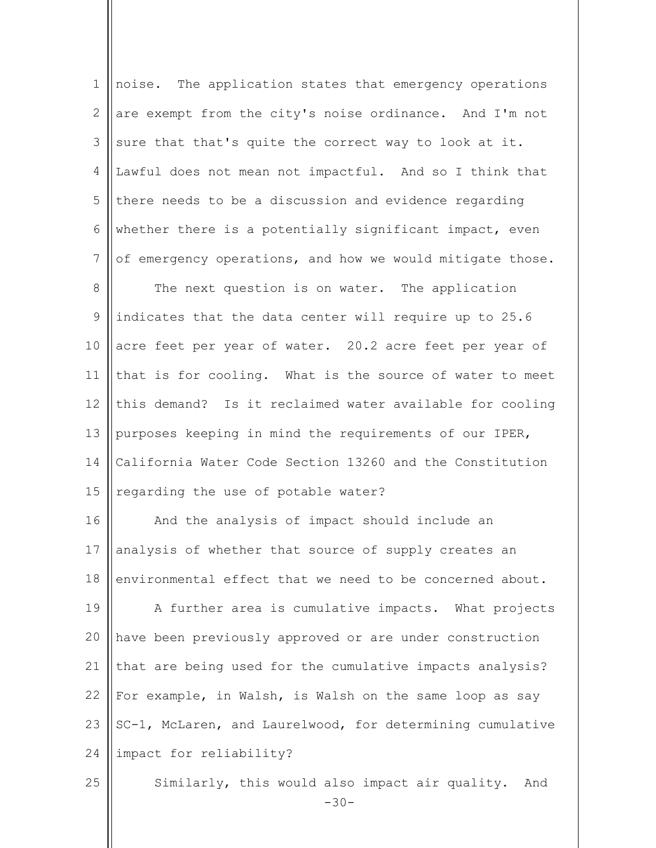| $\mathbf 1$     | noise. The application states that emergency operations      |
|-----------------|--------------------------------------------------------------|
| 2               | are exempt from the city's noise ordinance. And I'm not      |
| 3               | sure that that's quite the correct way to look at it.        |
| 4               | Lawful does not mean not impactful. And so I think that      |
| 5               | there needs to be a discussion and evidence regarding        |
| 6               | whether there is a potentially significant impact, even      |
| $7\phantom{.0}$ | of emergency operations, and how we would mitigate those.    |
| 8               | The next question is on water. The application               |
| 9               | indicates that the data center will require up to 25.6       |
| 10              | acre feet per year of water. 20.2 acre feet per year of      |
| 11              | that is for cooling. What is the source of water to meet     |
| 12              | this demand? Is it reclaimed water available for cooling     |
| 13              | purposes keeping in mind the requirements of our IPER,       |
| 14              | California Water Code Section 13260 and the Constitution     |
| 15              | regarding the use of potable water?                          |
| 16              | And the analysis of impact should include an                 |
| 17              | analysis of whether that source of supply creates an         |
| 18              | environmental effect that we need to be concerned about.     |
| 19              | A further area is cumulative impacts. What projects          |
| 20              | have been previously approved or are under construction      |
| 21              | that are being used for the cumulative impacts analysis?     |
| 22              | For example, in Walsh, is Walsh on the same loop as say      |
| 23              | SC-1, McLaren, and Laurelwood, for determining cumulative    |
| 24              | impact for reliability?                                      |
| 25              | Similarly, this would also impact air quality. And<br>$-30-$ |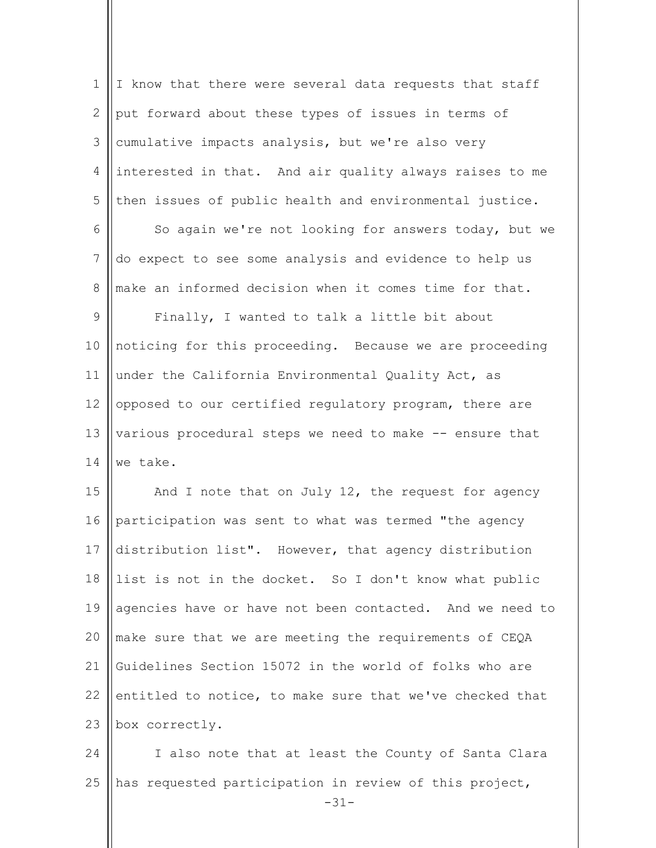| $\mathbf 1$    | I know that there were several data requests that staff          |
|----------------|------------------------------------------------------------------|
| 2              | put forward about these types of issues in terms of              |
| 3              | cumulative impacts analysis, but we're also very                 |
| $\overline{4}$ | interested in that. And air quality always raises to me          |
| 5              | then issues of public health and environmental justice.          |
| 6              | So again we're not looking for answers today, but we             |
| 7              | do expect to see some analysis and evidence to help us           |
| $\,8\,$        | make an informed decision when it comes time for that.           |
| $\mathsf 9$    | Finally, I wanted to talk a little bit about                     |
| 10             | noticing for this proceeding. Because we are proceeding          |
| 11             | under the California Environmental Quality Act, as               |
| 12             | opposed to our certified regulatory program, there are           |
| 13             | various procedural steps we need to make -- ensure that          |
| 14             | we take.                                                         |
| 15             | And I note that on July 12, the request for agency               |
| 16             | participation was sent to what was termed "the agency            |
| 17             | distribution list". However, that agency distribution            |
| 18             | list is not in the docket. So I don't know what public           |
| 19             | agencies have or have not been contacted. And we need to         |
| 20             | make sure that we are meeting the requirements of CEQA           |
| 21             | Guidelines Section 15072 in the world of folks who are           |
| 22             | entitled to notice, to make sure that we've checked that         |
| 23             | box correctly.                                                   |
| 24             | I also note that at least the County of Santa Clara              |
| 25             | has requested participation in review of this project,<br>$-31-$ |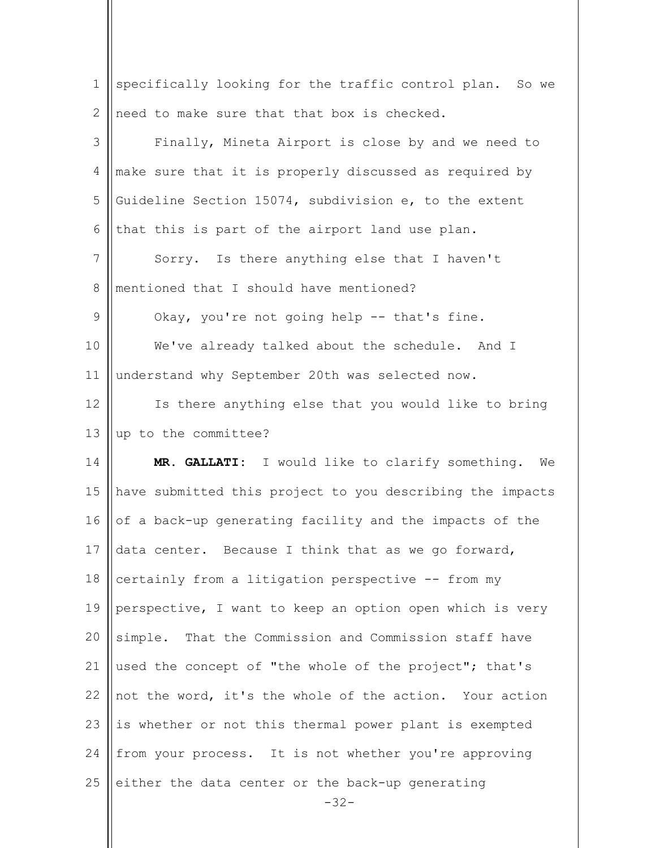| $\mathbf 1$  | specifically looking for the traffic control plan. So we  |
|--------------|-----------------------------------------------------------|
| $\mathbf{2}$ | need to make sure that that box is checked.               |
| 3            | Finally, Mineta Airport is close by and we need to        |
| 4            | make sure that it is properly discussed as required by    |
| 5            | Guideline Section 15074, subdivision e, to the extent     |
| 6            | that this is part of the airport land use plan.           |
| 7            | Sorry. Is there anything else that I haven't              |
| $8\,$        | mentioned that I should have mentioned?                   |
| 9            | Okay, you're not going help -- that's fine.               |
| 10           | We've already talked about the schedule. And I            |
| 11           | understand why September 20th was selected now.           |
| 12           | Is there anything else that you would like to bring       |
| 13           | up to the committee?                                      |
| 14           | MR. GALLATI: I would like to clarify something. We        |
| 15           | have submitted this project to you describing the impacts |
| 16           | of a back-up generating facility and the impacts of the   |
| 17           | data center. Because I think that as we go forward,       |
| 18           | certainly from a litigation perspective -- from my        |
| 19           | perspective, I want to keep an option open which is very  |
| 20           | simple. That the Commission and Commission staff have     |
| 21           | used the concept of "the whole of the project"; that's    |
| 22           | not the word, it's the whole of the action. Your action   |
| 23           | is whether or not this thermal power plant is exempted    |
| 24           | from your process. It is not whether you're approving     |
| 25           |                                                           |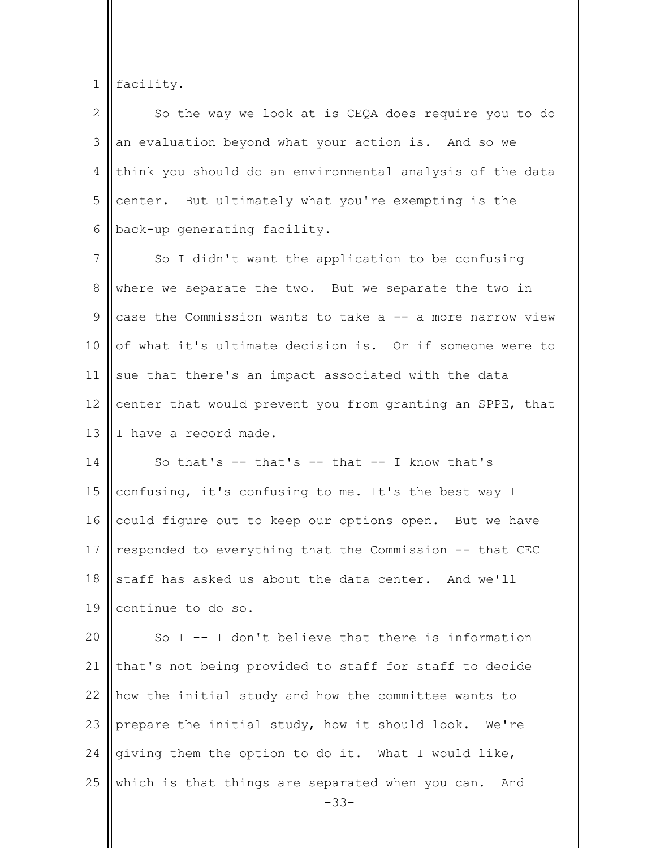1 facility.

| $\mathcal{D}_{\mathcal{L}}$ | So the way we look at is CEQA does require you to do      |
|-----------------------------|-----------------------------------------------------------|
| 3                           | an evaluation beyond what your action is. And so we       |
| 4                           | think you should do an environmental analysis of the data |
| 5                           | center. But ultimately what you're exempting is the       |
| 6                           | back-up generating facility.                              |
| 7                           | So I didn't want the application to be confusing          |
| 8                           | where we separate the two. But we separate the two in     |
|                             | case the Commission wants to take a -- a more narrow view |

10 11 12 13 of what it's ultimate decision is. Or if someone were to sue that there's an impact associated with the data center that would prevent you from granting an SPPE, that I have a record made.

14 15 16 17 18 19 So that's  $--$  that's  $--$  that  $--$  I know that's confusing, it's confusing to me. It's the best way I could figure out to keep our options open. But we have responded to everything that the Commission -- that CEC staff has asked us about the data center. And we'll continue to do so.

 $20$ 21 22 23 24 25 So  $I$  -- I don't believe that there is information that's not being provided to staff for staff to decide how the initial study and how the committee wants to prepare the initial study, how it should look. We're giving them the option to do it. What I would like, which is that things are separated when you can. And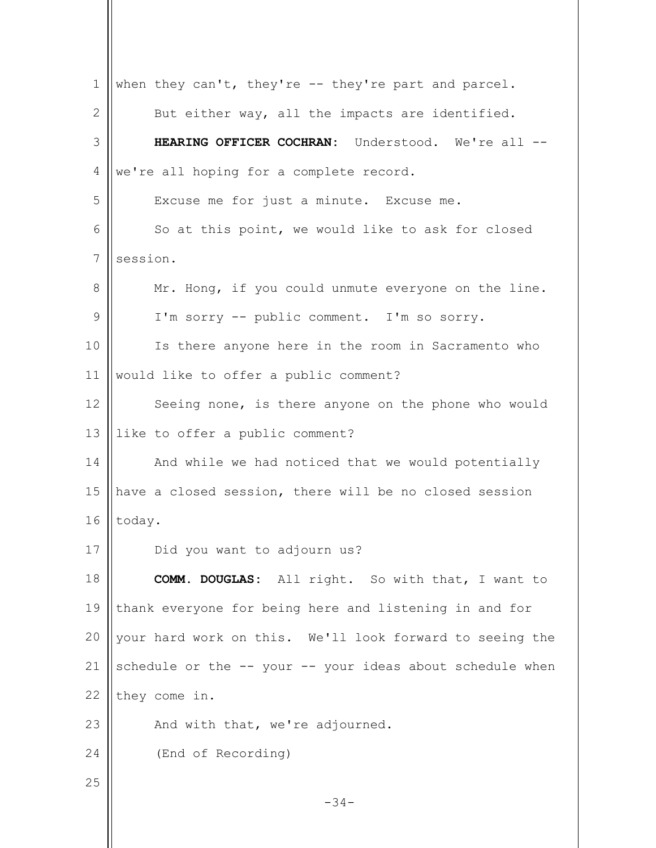$-34-$ 1 2 3 4 5 6 7 8 9 10 11 12 13 14 15 16 17 18 19 20 21 22 23 24 25 when they can't, they're -- they're part and parcel. But either way, all the impacts are identified. **HEARING OFFICER COCHRAN:** Understood. We're all - we're all hoping for a complete record. Excuse me for just a minute. Excuse me. So at this point, we would like to ask for closed session. Mr. Hong, if you could unmute everyone on the line. I'm sorry -- public comment. I'm so sorry. Is there anyone here in the room in Sacramento who would like to offer a public comment? Seeing none, is there anyone on the phone who would like to offer a public comment? And while we had noticed that we would potentially have a closed session, there will be no closed session today. Did you want to adjourn us? **COMM. DOUGLAS:** All right. So with that, I want to thank everyone for being here and listening in and for your hard work on this. We'll look forward to seeing the schedule or the -- your -- your ideas about schedule when they come in. And with that, we're adjourned. (End of Recording)